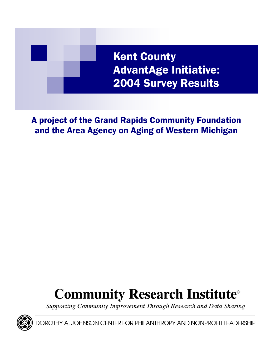

A project of the Grand Rapids Community Foundation and the Area Agency on Aging of Western Michigan

# **Community Research Institute**®

Supporting Community Improvement Through Research and Data Sharing



OROTHY A. JOHNSON CENTER FOR PHILANTHROPY AND NONPROFIT LEADERSHIP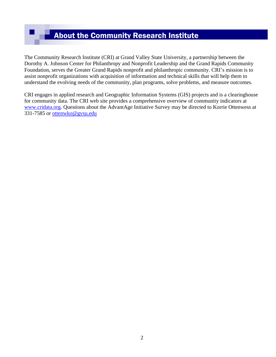# About the Community Research Institute

The Community Research Institute (CRI) at Grand Valley State University, a partnership between the Dorothy A. Johnson Center for Philanthropy and Nonprofit Leadership and the Grand Rapids Community Foundation, serves the Greater Grand Rapids nonprofit and philanthropic community. CRI's mission is to assist nonprofit organizations with acquisition of information and technical skills that will help them to understand the evolving needs of the community, plan programs, solve problems, and measure outcomes.

CRI engages in applied research and Geographic Information Systems (GIS) projects and is a clearinghouse for community data. The CRI web site provides a comprehensive overview of community indicators at www.cridata.org. Questions about the AdvantAge Initiative Survey may be directed to Korrie Ottenwess at 331-7585 or ottenwko@gvsu.edu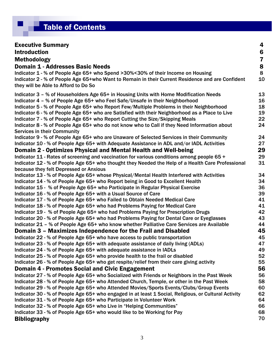# **Table of Contents**

| <b>Executive Summary</b><br>4<br><b>Introduction</b><br>6<br>7<br><b>Methodology</b><br>8<br><b>Domain 1 - Addresses Basic Needs</b><br>8<br>Indicator 1 - % of People Age 65+ who Spend >30%<30% of their Income on Housing<br>10<br>Indicator 2 - % of People Age 65+who Want to Remain in their Current Residence and are Confident<br>they will be Able to Afford to Do So<br>13<br>Indicator 3 - % of Householders Age 65+ in Housing Units with Home Modification Needs<br>Indicator 4 - % of People Age 65+ who Feel Safe/Unsafe in their Neighborhood<br>16<br>18<br>Indicator 5 - % of People Age 65+ who Report Few/Multiple Problems in their Neighborhood<br>Indicator 6 - % of People Age 65+ who are Satisfied with their Neighborhood as a Place to Live<br>19<br>Indicator 7 - % of People Age 65+ who Report Cutting the Size/Skipping Meals<br>22<br>Indicator 8 - % of People Age 65+ who do not know who to Call if they Need Information about<br>24<br><b>Services in their Community</b><br>Indicator 9 - % of People Age 65+ who are Unaware of Selected Services in their Community<br>24<br>Indicator 10 - % of People Age 65+ with Adequate Assistance in ADL and/or IADL Activities<br>27<br>29<br>Domain 2 - Optimizes Physical and Mental Health and Well-being<br>Indicator 11 - Rates of screening and vaccination for various conditions among people 65 +<br>29<br>31<br>Indicator 12 - % of People Age 65+ who thought they Needed the Help of a Health Care Professional<br>because they felt Depressed or Anxious<br>Indicator 13 - % of People Age 65+ whose Physical/Mental Health Interfered with Activities<br>34<br>Indicator 14 - % of People Age 65+ who Report being in Good to Excellent Health<br>34<br>36<br>Indicator 15 - % of People Age 65+ who Participate in Regular Physical Exercise<br>Indicator 16 - % of People Age 65+ with a Usual Source of Care<br>39<br>Indicator 17 - % of People Age 65+ who Failed to Obtain Needed Medical Care<br>41<br>Indicator 18 - % of People Age 65+ who had Problems Paying for Medical Care<br>41<br>Indicator 19 - % of People Age 65+ who had Problems Paying for Prescription Drugs<br>42<br>Indicator 20 - % of People Age 65+ who had Problems Paying for Dental Care or Eyeglasses<br>43<br>Indicator 21 - % of People Age 65+ who know whether Palliative Care Services are Available<br>44<br>Domain 3 - Maximizes Independence for the Frail and Disabled<br>45<br>Indicator 22 - % of People Age 65+ who have access to public transportation<br>45<br>Indicator 23 - % of People Age 65+ with adequate assistance of daily living (ADLs)<br>47<br>Indicator 24 - % of People Age 65+ with adequate assistance in IADLs<br>49<br>Indicator 25 - % of People Age 65+ who provide health to the frail or disabled<br>52<br>Indicator 26 - % of People Age 65+ who get respite/relief from their care giving activity<br>55<br>56<br><b>Domain 4 - Promotes Social and Civic Engagement</b><br>Indicator 27 - % of People Age 65+ who Socialized with Friends or Neighbors in the Past Week<br>56<br>Indicator 28 - % of People Age 65+ who Attended Church, Temple, or other in the Past Week<br>58<br>Indicator 29 - % of People Age 65+ who Attended Movies/Sports Events/Clubs/Group Events<br>60<br>Indicator 30 - % of People Age 65+ who engaged in at least 1 Social, Religious, or Cultural Activity<br>62<br>Indicator 31 - % of People Age 65+ who Participate in Volunteer Work<br>64<br>Indicator 32 - % of People Age 65+ who Live in "Helping Communities"<br>66<br>Indicator 33 - % of People Age 65+ who would like to be Working for Pay<br>68 |                     |    |
|----------------------------------------------------------------------------------------------------------------------------------------------------------------------------------------------------------------------------------------------------------------------------------------------------------------------------------------------------------------------------------------------------------------------------------------------------------------------------------------------------------------------------------------------------------------------------------------------------------------------------------------------------------------------------------------------------------------------------------------------------------------------------------------------------------------------------------------------------------------------------------------------------------------------------------------------------------------------------------------------------------------------------------------------------------------------------------------------------------------------------------------------------------------------------------------------------------------------------------------------------------------------------------------------------------------------------------------------------------------------------------------------------------------------------------------------------------------------------------------------------------------------------------------------------------------------------------------------------------------------------------------------------------------------------------------------------------------------------------------------------------------------------------------------------------------------------------------------------------------------------------------------------------------------------------------------------------------------------------------------------------------------------------------------------------------------------------------------------------------------------------------------------------------------------------------------------------------------------------------------------------------------------------------------------------------------------------------------------------------------------------------------------------------------------------------------------------------------------------------------------------------------------------------------------------------------------------------------------------------------------------------------------------------------------------------------------------------------------------------------------------------------------------------------------------------------------------------------------------------------------------------------------------------------------------------------------------------------------------------------------------------------------------------------------------------------------------------------------------------------------------------------------------------------------------------------------------------------------------------------------------------------------------------------------------------------------------------------------------------------------------------------------------------------------------------------------------------------------------------------------------------------------------------------------------------------------------------------------------------------------------------------------------------------|---------------------|----|
|                                                                                                                                                                                                                                                                                                                                                                                                                                                                                                                                                                                                                                                                                                                                                                                                                                                                                                                                                                                                                                                                                                                                                                                                                                                                                                                                                                                                                                                                                                                                                                                                                                                                                                                                                                                                                                                                                                                                                                                                                                                                                                                                                                                                                                                                                                                                                                                                                                                                                                                                                                                                                                                                                                                                                                                                                                                                                                                                                                                                                                                                                                                                                                                                                                                                                                                                                                                                                                                                                                                                                                                                                                                                      |                     |    |
|                                                                                                                                                                                                                                                                                                                                                                                                                                                                                                                                                                                                                                                                                                                                                                                                                                                                                                                                                                                                                                                                                                                                                                                                                                                                                                                                                                                                                                                                                                                                                                                                                                                                                                                                                                                                                                                                                                                                                                                                                                                                                                                                                                                                                                                                                                                                                                                                                                                                                                                                                                                                                                                                                                                                                                                                                                                                                                                                                                                                                                                                                                                                                                                                                                                                                                                                                                                                                                                                                                                                                                                                                                                                      |                     |    |
|                                                                                                                                                                                                                                                                                                                                                                                                                                                                                                                                                                                                                                                                                                                                                                                                                                                                                                                                                                                                                                                                                                                                                                                                                                                                                                                                                                                                                                                                                                                                                                                                                                                                                                                                                                                                                                                                                                                                                                                                                                                                                                                                                                                                                                                                                                                                                                                                                                                                                                                                                                                                                                                                                                                                                                                                                                                                                                                                                                                                                                                                                                                                                                                                                                                                                                                                                                                                                                                                                                                                                                                                                                                                      |                     |    |
|                                                                                                                                                                                                                                                                                                                                                                                                                                                                                                                                                                                                                                                                                                                                                                                                                                                                                                                                                                                                                                                                                                                                                                                                                                                                                                                                                                                                                                                                                                                                                                                                                                                                                                                                                                                                                                                                                                                                                                                                                                                                                                                                                                                                                                                                                                                                                                                                                                                                                                                                                                                                                                                                                                                                                                                                                                                                                                                                                                                                                                                                                                                                                                                                                                                                                                                                                                                                                                                                                                                                                                                                                                                                      |                     |    |
|                                                                                                                                                                                                                                                                                                                                                                                                                                                                                                                                                                                                                                                                                                                                                                                                                                                                                                                                                                                                                                                                                                                                                                                                                                                                                                                                                                                                                                                                                                                                                                                                                                                                                                                                                                                                                                                                                                                                                                                                                                                                                                                                                                                                                                                                                                                                                                                                                                                                                                                                                                                                                                                                                                                                                                                                                                                                                                                                                                                                                                                                                                                                                                                                                                                                                                                                                                                                                                                                                                                                                                                                                                                                      |                     |    |
|                                                                                                                                                                                                                                                                                                                                                                                                                                                                                                                                                                                                                                                                                                                                                                                                                                                                                                                                                                                                                                                                                                                                                                                                                                                                                                                                                                                                                                                                                                                                                                                                                                                                                                                                                                                                                                                                                                                                                                                                                                                                                                                                                                                                                                                                                                                                                                                                                                                                                                                                                                                                                                                                                                                                                                                                                                                                                                                                                                                                                                                                                                                                                                                                                                                                                                                                                                                                                                                                                                                                                                                                                                                                      |                     |    |
|                                                                                                                                                                                                                                                                                                                                                                                                                                                                                                                                                                                                                                                                                                                                                                                                                                                                                                                                                                                                                                                                                                                                                                                                                                                                                                                                                                                                                                                                                                                                                                                                                                                                                                                                                                                                                                                                                                                                                                                                                                                                                                                                                                                                                                                                                                                                                                                                                                                                                                                                                                                                                                                                                                                                                                                                                                                                                                                                                                                                                                                                                                                                                                                                                                                                                                                                                                                                                                                                                                                                                                                                                                                                      |                     |    |
|                                                                                                                                                                                                                                                                                                                                                                                                                                                                                                                                                                                                                                                                                                                                                                                                                                                                                                                                                                                                                                                                                                                                                                                                                                                                                                                                                                                                                                                                                                                                                                                                                                                                                                                                                                                                                                                                                                                                                                                                                                                                                                                                                                                                                                                                                                                                                                                                                                                                                                                                                                                                                                                                                                                                                                                                                                                                                                                                                                                                                                                                                                                                                                                                                                                                                                                                                                                                                                                                                                                                                                                                                                                                      |                     |    |
|                                                                                                                                                                                                                                                                                                                                                                                                                                                                                                                                                                                                                                                                                                                                                                                                                                                                                                                                                                                                                                                                                                                                                                                                                                                                                                                                                                                                                                                                                                                                                                                                                                                                                                                                                                                                                                                                                                                                                                                                                                                                                                                                                                                                                                                                                                                                                                                                                                                                                                                                                                                                                                                                                                                                                                                                                                                                                                                                                                                                                                                                                                                                                                                                                                                                                                                                                                                                                                                                                                                                                                                                                                                                      |                     |    |
|                                                                                                                                                                                                                                                                                                                                                                                                                                                                                                                                                                                                                                                                                                                                                                                                                                                                                                                                                                                                                                                                                                                                                                                                                                                                                                                                                                                                                                                                                                                                                                                                                                                                                                                                                                                                                                                                                                                                                                                                                                                                                                                                                                                                                                                                                                                                                                                                                                                                                                                                                                                                                                                                                                                                                                                                                                                                                                                                                                                                                                                                                                                                                                                                                                                                                                                                                                                                                                                                                                                                                                                                                                                                      |                     |    |
|                                                                                                                                                                                                                                                                                                                                                                                                                                                                                                                                                                                                                                                                                                                                                                                                                                                                                                                                                                                                                                                                                                                                                                                                                                                                                                                                                                                                                                                                                                                                                                                                                                                                                                                                                                                                                                                                                                                                                                                                                                                                                                                                                                                                                                                                                                                                                                                                                                                                                                                                                                                                                                                                                                                                                                                                                                                                                                                                                                                                                                                                                                                                                                                                                                                                                                                                                                                                                                                                                                                                                                                                                                                                      |                     |    |
|                                                                                                                                                                                                                                                                                                                                                                                                                                                                                                                                                                                                                                                                                                                                                                                                                                                                                                                                                                                                                                                                                                                                                                                                                                                                                                                                                                                                                                                                                                                                                                                                                                                                                                                                                                                                                                                                                                                                                                                                                                                                                                                                                                                                                                                                                                                                                                                                                                                                                                                                                                                                                                                                                                                                                                                                                                                                                                                                                                                                                                                                                                                                                                                                                                                                                                                                                                                                                                                                                                                                                                                                                                                                      |                     |    |
|                                                                                                                                                                                                                                                                                                                                                                                                                                                                                                                                                                                                                                                                                                                                                                                                                                                                                                                                                                                                                                                                                                                                                                                                                                                                                                                                                                                                                                                                                                                                                                                                                                                                                                                                                                                                                                                                                                                                                                                                                                                                                                                                                                                                                                                                                                                                                                                                                                                                                                                                                                                                                                                                                                                                                                                                                                                                                                                                                                                                                                                                                                                                                                                                                                                                                                                                                                                                                                                                                                                                                                                                                                                                      |                     |    |
|                                                                                                                                                                                                                                                                                                                                                                                                                                                                                                                                                                                                                                                                                                                                                                                                                                                                                                                                                                                                                                                                                                                                                                                                                                                                                                                                                                                                                                                                                                                                                                                                                                                                                                                                                                                                                                                                                                                                                                                                                                                                                                                                                                                                                                                                                                                                                                                                                                                                                                                                                                                                                                                                                                                                                                                                                                                                                                                                                                                                                                                                                                                                                                                                                                                                                                                                                                                                                                                                                                                                                                                                                                                                      |                     |    |
|                                                                                                                                                                                                                                                                                                                                                                                                                                                                                                                                                                                                                                                                                                                                                                                                                                                                                                                                                                                                                                                                                                                                                                                                                                                                                                                                                                                                                                                                                                                                                                                                                                                                                                                                                                                                                                                                                                                                                                                                                                                                                                                                                                                                                                                                                                                                                                                                                                                                                                                                                                                                                                                                                                                                                                                                                                                                                                                                                                                                                                                                                                                                                                                                                                                                                                                                                                                                                                                                                                                                                                                                                                                                      |                     |    |
|                                                                                                                                                                                                                                                                                                                                                                                                                                                                                                                                                                                                                                                                                                                                                                                                                                                                                                                                                                                                                                                                                                                                                                                                                                                                                                                                                                                                                                                                                                                                                                                                                                                                                                                                                                                                                                                                                                                                                                                                                                                                                                                                                                                                                                                                                                                                                                                                                                                                                                                                                                                                                                                                                                                                                                                                                                                                                                                                                                                                                                                                                                                                                                                                                                                                                                                                                                                                                                                                                                                                                                                                                                                                      |                     |    |
|                                                                                                                                                                                                                                                                                                                                                                                                                                                                                                                                                                                                                                                                                                                                                                                                                                                                                                                                                                                                                                                                                                                                                                                                                                                                                                                                                                                                                                                                                                                                                                                                                                                                                                                                                                                                                                                                                                                                                                                                                                                                                                                                                                                                                                                                                                                                                                                                                                                                                                                                                                                                                                                                                                                                                                                                                                                                                                                                                                                                                                                                                                                                                                                                                                                                                                                                                                                                                                                                                                                                                                                                                                                                      |                     |    |
|                                                                                                                                                                                                                                                                                                                                                                                                                                                                                                                                                                                                                                                                                                                                                                                                                                                                                                                                                                                                                                                                                                                                                                                                                                                                                                                                                                                                                                                                                                                                                                                                                                                                                                                                                                                                                                                                                                                                                                                                                                                                                                                                                                                                                                                                                                                                                                                                                                                                                                                                                                                                                                                                                                                                                                                                                                                                                                                                                                                                                                                                                                                                                                                                                                                                                                                                                                                                                                                                                                                                                                                                                                                                      |                     |    |
|                                                                                                                                                                                                                                                                                                                                                                                                                                                                                                                                                                                                                                                                                                                                                                                                                                                                                                                                                                                                                                                                                                                                                                                                                                                                                                                                                                                                                                                                                                                                                                                                                                                                                                                                                                                                                                                                                                                                                                                                                                                                                                                                                                                                                                                                                                                                                                                                                                                                                                                                                                                                                                                                                                                                                                                                                                                                                                                                                                                                                                                                                                                                                                                                                                                                                                                                                                                                                                                                                                                                                                                                                                                                      |                     |    |
|                                                                                                                                                                                                                                                                                                                                                                                                                                                                                                                                                                                                                                                                                                                                                                                                                                                                                                                                                                                                                                                                                                                                                                                                                                                                                                                                                                                                                                                                                                                                                                                                                                                                                                                                                                                                                                                                                                                                                                                                                                                                                                                                                                                                                                                                                                                                                                                                                                                                                                                                                                                                                                                                                                                                                                                                                                                                                                                                                                                                                                                                                                                                                                                                                                                                                                                                                                                                                                                                                                                                                                                                                                                                      |                     |    |
|                                                                                                                                                                                                                                                                                                                                                                                                                                                                                                                                                                                                                                                                                                                                                                                                                                                                                                                                                                                                                                                                                                                                                                                                                                                                                                                                                                                                                                                                                                                                                                                                                                                                                                                                                                                                                                                                                                                                                                                                                                                                                                                                                                                                                                                                                                                                                                                                                                                                                                                                                                                                                                                                                                                                                                                                                                                                                                                                                                                                                                                                                                                                                                                                                                                                                                                                                                                                                                                                                                                                                                                                                                                                      |                     |    |
|                                                                                                                                                                                                                                                                                                                                                                                                                                                                                                                                                                                                                                                                                                                                                                                                                                                                                                                                                                                                                                                                                                                                                                                                                                                                                                                                                                                                                                                                                                                                                                                                                                                                                                                                                                                                                                                                                                                                                                                                                                                                                                                                                                                                                                                                                                                                                                                                                                                                                                                                                                                                                                                                                                                                                                                                                                                                                                                                                                                                                                                                                                                                                                                                                                                                                                                                                                                                                                                                                                                                                                                                                                                                      |                     |    |
|                                                                                                                                                                                                                                                                                                                                                                                                                                                                                                                                                                                                                                                                                                                                                                                                                                                                                                                                                                                                                                                                                                                                                                                                                                                                                                                                                                                                                                                                                                                                                                                                                                                                                                                                                                                                                                                                                                                                                                                                                                                                                                                                                                                                                                                                                                                                                                                                                                                                                                                                                                                                                                                                                                                                                                                                                                                                                                                                                                                                                                                                                                                                                                                                                                                                                                                                                                                                                                                                                                                                                                                                                                                                      |                     |    |
|                                                                                                                                                                                                                                                                                                                                                                                                                                                                                                                                                                                                                                                                                                                                                                                                                                                                                                                                                                                                                                                                                                                                                                                                                                                                                                                                                                                                                                                                                                                                                                                                                                                                                                                                                                                                                                                                                                                                                                                                                                                                                                                                                                                                                                                                                                                                                                                                                                                                                                                                                                                                                                                                                                                                                                                                                                                                                                                                                                                                                                                                                                                                                                                                                                                                                                                                                                                                                                                                                                                                                                                                                                                                      |                     |    |
|                                                                                                                                                                                                                                                                                                                                                                                                                                                                                                                                                                                                                                                                                                                                                                                                                                                                                                                                                                                                                                                                                                                                                                                                                                                                                                                                                                                                                                                                                                                                                                                                                                                                                                                                                                                                                                                                                                                                                                                                                                                                                                                                                                                                                                                                                                                                                                                                                                                                                                                                                                                                                                                                                                                                                                                                                                                                                                                                                                                                                                                                                                                                                                                                                                                                                                                                                                                                                                                                                                                                                                                                                                                                      |                     |    |
|                                                                                                                                                                                                                                                                                                                                                                                                                                                                                                                                                                                                                                                                                                                                                                                                                                                                                                                                                                                                                                                                                                                                                                                                                                                                                                                                                                                                                                                                                                                                                                                                                                                                                                                                                                                                                                                                                                                                                                                                                                                                                                                                                                                                                                                                                                                                                                                                                                                                                                                                                                                                                                                                                                                                                                                                                                                                                                                                                                                                                                                                                                                                                                                                                                                                                                                                                                                                                                                                                                                                                                                                                                                                      |                     |    |
|                                                                                                                                                                                                                                                                                                                                                                                                                                                                                                                                                                                                                                                                                                                                                                                                                                                                                                                                                                                                                                                                                                                                                                                                                                                                                                                                                                                                                                                                                                                                                                                                                                                                                                                                                                                                                                                                                                                                                                                                                                                                                                                                                                                                                                                                                                                                                                                                                                                                                                                                                                                                                                                                                                                                                                                                                                                                                                                                                                                                                                                                                                                                                                                                                                                                                                                                                                                                                                                                                                                                                                                                                                                                      |                     |    |
|                                                                                                                                                                                                                                                                                                                                                                                                                                                                                                                                                                                                                                                                                                                                                                                                                                                                                                                                                                                                                                                                                                                                                                                                                                                                                                                                                                                                                                                                                                                                                                                                                                                                                                                                                                                                                                                                                                                                                                                                                                                                                                                                                                                                                                                                                                                                                                                                                                                                                                                                                                                                                                                                                                                                                                                                                                                                                                                                                                                                                                                                                                                                                                                                                                                                                                                                                                                                                                                                                                                                                                                                                                                                      |                     |    |
|                                                                                                                                                                                                                                                                                                                                                                                                                                                                                                                                                                                                                                                                                                                                                                                                                                                                                                                                                                                                                                                                                                                                                                                                                                                                                                                                                                                                                                                                                                                                                                                                                                                                                                                                                                                                                                                                                                                                                                                                                                                                                                                                                                                                                                                                                                                                                                                                                                                                                                                                                                                                                                                                                                                                                                                                                                                                                                                                                                                                                                                                                                                                                                                                                                                                                                                                                                                                                                                                                                                                                                                                                                                                      |                     |    |
|                                                                                                                                                                                                                                                                                                                                                                                                                                                                                                                                                                                                                                                                                                                                                                                                                                                                                                                                                                                                                                                                                                                                                                                                                                                                                                                                                                                                                                                                                                                                                                                                                                                                                                                                                                                                                                                                                                                                                                                                                                                                                                                                                                                                                                                                                                                                                                                                                                                                                                                                                                                                                                                                                                                                                                                                                                                                                                                                                                                                                                                                                                                                                                                                                                                                                                                                                                                                                                                                                                                                                                                                                                                                      |                     |    |
|                                                                                                                                                                                                                                                                                                                                                                                                                                                                                                                                                                                                                                                                                                                                                                                                                                                                                                                                                                                                                                                                                                                                                                                                                                                                                                                                                                                                                                                                                                                                                                                                                                                                                                                                                                                                                                                                                                                                                                                                                                                                                                                                                                                                                                                                                                                                                                                                                                                                                                                                                                                                                                                                                                                                                                                                                                                                                                                                                                                                                                                                                                                                                                                                                                                                                                                                                                                                                                                                                                                                                                                                                                                                      |                     |    |
|                                                                                                                                                                                                                                                                                                                                                                                                                                                                                                                                                                                                                                                                                                                                                                                                                                                                                                                                                                                                                                                                                                                                                                                                                                                                                                                                                                                                                                                                                                                                                                                                                                                                                                                                                                                                                                                                                                                                                                                                                                                                                                                                                                                                                                                                                                                                                                                                                                                                                                                                                                                                                                                                                                                                                                                                                                                                                                                                                                                                                                                                                                                                                                                                                                                                                                                                                                                                                                                                                                                                                                                                                                                                      |                     |    |
|                                                                                                                                                                                                                                                                                                                                                                                                                                                                                                                                                                                                                                                                                                                                                                                                                                                                                                                                                                                                                                                                                                                                                                                                                                                                                                                                                                                                                                                                                                                                                                                                                                                                                                                                                                                                                                                                                                                                                                                                                                                                                                                                                                                                                                                                                                                                                                                                                                                                                                                                                                                                                                                                                                                                                                                                                                                                                                                                                                                                                                                                                                                                                                                                                                                                                                                                                                                                                                                                                                                                                                                                                                                                      |                     |    |
|                                                                                                                                                                                                                                                                                                                                                                                                                                                                                                                                                                                                                                                                                                                                                                                                                                                                                                                                                                                                                                                                                                                                                                                                                                                                                                                                                                                                                                                                                                                                                                                                                                                                                                                                                                                                                                                                                                                                                                                                                                                                                                                                                                                                                                                                                                                                                                                                                                                                                                                                                                                                                                                                                                                                                                                                                                                                                                                                                                                                                                                                                                                                                                                                                                                                                                                                                                                                                                                                                                                                                                                                                                                                      |                     |    |
|                                                                                                                                                                                                                                                                                                                                                                                                                                                                                                                                                                                                                                                                                                                                                                                                                                                                                                                                                                                                                                                                                                                                                                                                                                                                                                                                                                                                                                                                                                                                                                                                                                                                                                                                                                                                                                                                                                                                                                                                                                                                                                                                                                                                                                                                                                                                                                                                                                                                                                                                                                                                                                                                                                                                                                                                                                                                                                                                                                                                                                                                                                                                                                                                                                                                                                                                                                                                                                                                                                                                                                                                                                                                      |                     |    |
|                                                                                                                                                                                                                                                                                                                                                                                                                                                                                                                                                                                                                                                                                                                                                                                                                                                                                                                                                                                                                                                                                                                                                                                                                                                                                                                                                                                                                                                                                                                                                                                                                                                                                                                                                                                                                                                                                                                                                                                                                                                                                                                                                                                                                                                                                                                                                                                                                                                                                                                                                                                                                                                                                                                                                                                                                                                                                                                                                                                                                                                                                                                                                                                                                                                                                                                                                                                                                                                                                                                                                                                                                                                                      |                     |    |
|                                                                                                                                                                                                                                                                                                                                                                                                                                                                                                                                                                                                                                                                                                                                                                                                                                                                                                                                                                                                                                                                                                                                                                                                                                                                                                                                                                                                                                                                                                                                                                                                                                                                                                                                                                                                                                                                                                                                                                                                                                                                                                                                                                                                                                                                                                                                                                                                                                                                                                                                                                                                                                                                                                                                                                                                                                                                                                                                                                                                                                                                                                                                                                                                                                                                                                                                                                                                                                                                                                                                                                                                                                                                      |                     |    |
|                                                                                                                                                                                                                                                                                                                                                                                                                                                                                                                                                                                                                                                                                                                                                                                                                                                                                                                                                                                                                                                                                                                                                                                                                                                                                                                                                                                                                                                                                                                                                                                                                                                                                                                                                                                                                                                                                                                                                                                                                                                                                                                                                                                                                                                                                                                                                                                                                                                                                                                                                                                                                                                                                                                                                                                                                                                                                                                                                                                                                                                                                                                                                                                                                                                                                                                                                                                                                                                                                                                                                                                                                                                                      |                     |    |
|                                                                                                                                                                                                                                                                                                                                                                                                                                                                                                                                                                                                                                                                                                                                                                                                                                                                                                                                                                                                                                                                                                                                                                                                                                                                                                                                                                                                                                                                                                                                                                                                                                                                                                                                                                                                                                                                                                                                                                                                                                                                                                                                                                                                                                                                                                                                                                                                                                                                                                                                                                                                                                                                                                                                                                                                                                                                                                                                                                                                                                                                                                                                                                                                                                                                                                                                                                                                                                                                                                                                                                                                                                                                      |                     |    |
|                                                                                                                                                                                                                                                                                                                                                                                                                                                                                                                                                                                                                                                                                                                                                                                                                                                                                                                                                                                                                                                                                                                                                                                                                                                                                                                                                                                                                                                                                                                                                                                                                                                                                                                                                                                                                                                                                                                                                                                                                                                                                                                                                                                                                                                                                                                                                                                                                                                                                                                                                                                                                                                                                                                                                                                                                                                                                                                                                                                                                                                                                                                                                                                                                                                                                                                                                                                                                                                                                                                                                                                                                                                                      |                     |    |
|                                                                                                                                                                                                                                                                                                                                                                                                                                                                                                                                                                                                                                                                                                                                                                                                                                                                                                                                                                                                                                                                                                                                                                                                                                                                                                                                                                                                                                                                                                                                                                                                                                                                                                                                                                                                                                                                                                                                                                                                                                                                                                                                                                                                                                                                                                                                                                                                                                                                                                                                                                                                                                                                                                                                                                                                                                                                                                                                                                                                                                                                                                                                                                                                                                                                                                                                                                                                                                                                                                                                                                                                                                                                      |                     |    |
|                                                                                                                                                                                                                                                                                                                                                                                                                                                                                                                                                                                                                                                                                                                                                                                                                                                                                                                                                                                                                                                                                                                                                                                                                                                                                                                                                                                                                                                                                                                                                                                                                                                                                                                                                                                                                                                                                                                                                                                                                                                                                                                                                                                                                                                                                                                                                                                                                                                                                                                                                                                                                                                                                                                                                                                                                                                                                                                                                                                                                                                                                                                                                                                                                                                                                                                                                                                                                                                                                                                                                                                                                                                                      |                     |    |
|                                                                                                                                                                                                                                                                                                                                                                                                                                                                                                                                                                                                                                                                                                                                                                                                                                                                                                                                                                                                                                                                                                                                                                                                                                                                                                                                                                                                                                                                                                                                                                                                                                                                                                                                                                                                                                                                                                                                                                                                                                                                                                                                                                                                                                                                                                                                                                                                                                                                                                                                                                                                                                                                                                                                                                                                                                                                                                                                                                                                                                                                                                                                                                                                                                                                                                                                                                                                                                                                                                                                                                                                                                                                      | <b>Bibliography</b> | 70 |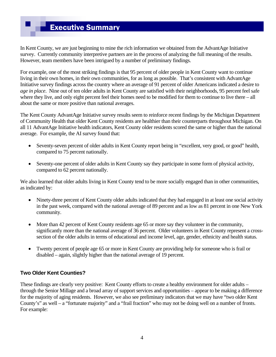# Executive Summary

In Kent County, we are just beginning to mine the rich information we obtained from the AdvantAge Initiative survey. Currently community interpretive partners are in the process of analyzing the full meaning of the results. However, team members have been intrigued by a number of preliminary findings.

For example, one of the most striking findings is that 95 percent of older people in Kent County want to continue living in their own homes, in their own communities, for as long as possible. That's consistent with AdvantAge Initiative survey findings across the country where an average of 91 percent of older Americans indicated a desire to *age in place*. Nine out of ten older adults in Kent County are satisfied with their neighborhoods, 95 percent feel safe where they live, and only eight percent feel their homes need to be modified for them to continue to live there – all about the same or more positive than national averages.

The Kent County AdvantAge Initiative survey results seem to reinforce recent findings by the Michigan Department of Community Health that older Kent County residents are healthier than their counterparts throughout Michigan. On all 11 AdvantAge Initiative health indicators, Kent County older residents scored the same or higher than the national average. For example, the AI survey found that:

- Seventy-seven percent of older adults in Kent County report being in "excellent, very good, or good" health, compared to 75 percent nationally.
- Seventy-one percent of older adults in Kent County say they participate in some form of physical activity, compared to 62 percent nationally.

We also learned that older adults living in Kent County tend to be more socially engaged than in other communities, as indicated by:

- Ninety-three percent of Kent County older adults indicated that they had engaged in at least one social activity in the past week, compared with the national average of 89 percent and as low as 81 percent in one New York community.
- More than 42 percent of Kent County residents age 65 or more say they volunteer in the community, significantly more than the national average of 36 percent. Older volunteers in Kent County represent a crosssection of the older adults in terms of educational and income level, age, gender, ethnicity and health status.
- Twenty percent of people age 65 or more in Kent County are providing help for someone who is frail or disabled – again, slightly higher than the national average of 19 percent.

## **Two Older Kent Counties?**

These findings are clearly very positive: Kent County efforts to create a healthy environment for older adults – through the Senior Millage and a broad array of support services and opportunities – appear to be making a difference for the majority of aging residents. However, we also see preliminary indicators that we may have "two older Kent County's" as well – a "fortunate majority" and a "frail fraction" who may not be doing well on a number of fronts. For example: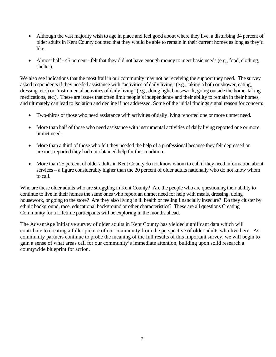- Although the vast majority wish to age in place and feel good about where they live, a disturbing 34 percent of older adults in Kent County doubted that they would be able to remain in their current homes as long as they'd like.
- Almost half 45 percent felt that they did not have enough money to meet basic needs (e.g., food, clothing, shelter).

We also see indications that the most frail in our community may not be receiving the support they need. The survey asked respondents if they needed assistance with "activities of daily living" (e.g., taking a bath or shower, eating, dressing, etc.) or "instrumental activities of daily living" (e.g., doing light housework, going outside the home, taking medications, etc.). These are issues that often limit people's independence and their ability to remain in their homes, and ultimately can lead to isolation and decline if not addressed. Some of the initial findings signal reason for concern:

- Two-thirds of those who need assistance with activities of daily living reported one or more unmet need.
- More than half of those who need assistance with instrumental activities of daily living reported one or more unmet need.
- More than a third of those who felt they needed the help of a professional because they felt depressed or anxious reported they had not obtained help for this condition.
- More than 25 percent of older adults in Kent County do not know whom to call if they need information about services – a figure considerably higher than the 20 percent of older adults nationally who do not know whom to call.

Who are these older adults who are struggling in Kent County? Are the people who are questioning their ability to continue to live in their homes the same ones who report an unmet need for help with meals, dressing, doing housework, or going to the store? Are they also living in ill health or feeling financially insecure? Do they cluster by ethnic background, race, educational background or other characteristics? These are all questions Creating Community for a Lifetime participants will be exploring in the months ahead.

The AdvantAge Initiative survey of older adults in Kent County has yielded significant data which will contribute to creating a fuller picture of our community from the perspective of older adults who live here. As community partners continue to probe the meaning of the full results of this important survey, we will begin to gain a sense of what areas call for our community's immediate attention, building upon solid research a countywide blueprint for action.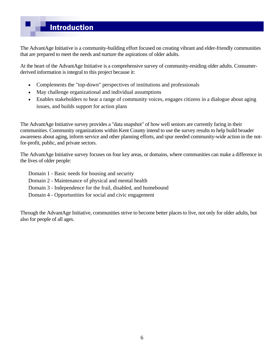# Introduction

The AdvantAge Initiative is a community-building effort focused on creating vibrant and elder-friendly communities that are prepared to meet the needs and nurture the aspirations of older adults.

At the heart of the AdvantAge Initiative is a comprehensive survey of community-residing older adults. Consumerderived information is integral to this project because it:

- Complements the "top-down" perspectives of institutions and professionals
- May challenge organizational and individual assumptions
- Enables stakeholders to hear a range of community voices, engages citizens in a dialogue about aging issues, and builds support for action plans

The AdvantAge Initiative survey provides a "data snapshot" of how well seniors are currently faring in their communities. Community organizations within Kent County intend to use the survey results to help build broader awareness about aging, inform service and other planning efforts, and spur needed community-wide action in the notfor-profit, public, and private sectors.

The AdvantAge Initiative survey focuses on four key areas, or domains, where communities can make a difference in the lives of older people:

- Domain 1 Basic needs for housing and security
- Domain 2 Maintenance of physical and mental health
- Domain 3 Independence for the frail, disabled, and homebound
- Domain 4 Opportunities for social and civic engagement

Through the AdvantAge Initiative, communities strive to become better places to live, not only for older adults, but also for people of all ages.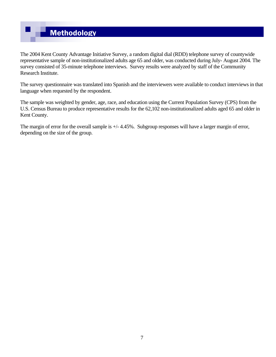# **Methodology**

The 2004 Kent County Advantage Initiative Survey, a random digital dial (RDD) telephone survey of countywide representative sample of non-institutionalized adults age 65 and older, was conducted during July- August 2004. The survey consisted of 35-minute telephone interviews. Survey results were analyzed by staff of the Community Research Institute.

The survey questionnaire was translated into Spanish and the interviewers were available to conduct interviews in that language when requested by the respondent.

The sample was weighted by gender, age, race, and education using the Current Population Survey (CPS) from the U.S. Census Bureau to produce representative results for the 62,102 non-institutionalized adults aged 65 and older in Kent County.

The margin of error for the overall sample is  $+/$ -4.45%. Subgroup responses will have a larger margin of error, depending on the size of the group.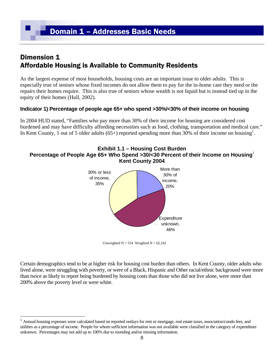# Dimension 1 Affordable Housing is Available to Community Residents

As the largest expense of most households, housing costs are an important issue to older adults. This is especially true of seniors whose fixed incomes do not allow them to pay for the in-home care they need or the repairs their homes require. This is also true of seniors whose wealth is not liquid but is instead tied up in the equity of their homes (Hull, 2002).

## **Indicator 1) Percentage of people age 65+ who spend >30%/<30% of their income on housing**

In 2004 HUD stated, "Families who pay more than 30% of their income for housing are considered cost burdened and may have difficulty affording necessities such as food, clothing, transportation and medical care." In Kent County, 1 out of 5 older adults  $(65+)$  reported spending more than 30% of their income on housing<sup>1</sup>.

#### **Exhibit 1.1 – Housing Cost Burden Percentage of People Age 65+ Who Spend >30/<30 Percent of their Income on Housing**<sup>1</sup> **Kent County 2004**



Unweighted  $N = 554$  Weighted  $N = 62,102$ 

Certain demographics tend to be at higher risk for housing cost burden than others. In Kent County, older adults who lived alone, were struggling with poverty, or were of a Black, Hispanic and Other racial/ethnic background were more than twice as likely to report being burdened by housing costs than those who did not live alone, were more than 200% above the poverty level or were white.

<sup>1</sup> Annual housing expenses were calculated based on reported outlays for rent or mortgage, real estate taxes, association/condo fees, and utilities as a percentage of income. People for whom sufficient information was not available were classified in the category of expenditure unknown. Percentages may not add up to 100% due to rounding and/or missing information.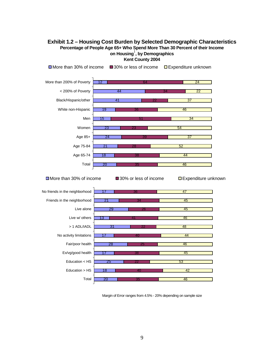#### **Exhibit 1.2 – Housing Cost Burden by Selected Demographic Characteristics Percentage of People Age 65+ Who Spend More Than 30 Percent of their Income on Housing**<sup>1</sup> **, by Demographics Kent County 2004**



Margin of Error ranges from 4.5% - 20% depending on sample size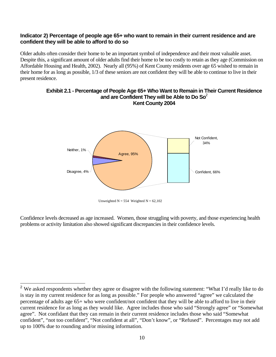#### **Indicator 2) Percentage of people age 65+ who want to remain in their current residence and are confident they will be able to afford to do so**

Older adults often consider their home to be an important symbol of independence and their most valuable asset. Despite this, a significant amount of older adults find their home to be too costly to retain as they age (Commission on Affordable Housing and Health, 2002). Nearly all (95%) of Kent County residents over age 65 wished to remain in their home for as long as possible, 1/3 of these seniors are not confident they will be able to continue to live in their present residence.

#### **Exhibit 2.1 - Percentage of People Age 65+ Who Want to Remain in Their Current Residence**  and are Confident They will be Able to Do So<sup>2</sup> **Kent County 2004**



Unweighted  $N = 554$  Weighted  $N = 62,102$ 

Confidence levels decreased as age increased. Women, those struggling with poverty, and those experiencing health problems or activity limitation also showed significant discrepancies in their confidence levels.

1

<sup>&</sup>lt;sup>2</sup> We asked respondents whether they agree or disagree with the following statement: "What I'd really like to do is stay in my current residence for as long as possible." For people who answered "agree" we calculated the percentage of adults age 65+ who were confident/not confident that they will be able to afford to live in their current residence for as long as they would like. Agree includes those who said "Strongly agree" or "Somewhat agree". Not confidant that they can remain in their current residence includes those who said "Somewhat confident", "not too confident", "Not confident at all", "Don't know", or "Refused". Percentages may not add up to 100% due to rounding and/or missing information.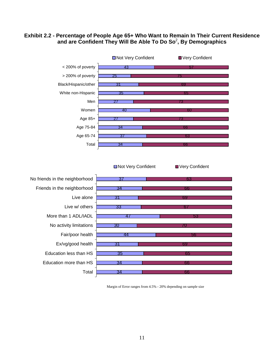#### **Exhibit 2.2 - Percentage of People Age 65+ Who Want to Remain In Their Current Residence and are Confident They Will Be Able To Do So**<sup>2</sup> **, By Demographics**



■Not Very Confident ■ Very Confident



Margin of Error ranges from 4.5% - 20% depending on sample size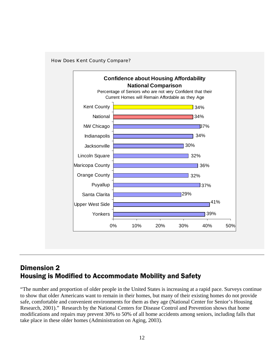



## Dimension 2 Housing is Modified to Accommodate Mobility and Safety

"The number and proportion of older people in the United States is increasing at a rapid pace. Surveys continue to show that older Americans want to remain in their homes, but many of their existing homes do not provide safe, comfortable and convenient environments for them as they age (National Center for Senior's Housing Research, 2001)." Research by the National Centers for Disease Control and Prevention shows that home modifications and repairs may prevent 30% to 50% of all home accidents among seniors, including falls that take place in these older homes (Administration on Aging, 2003).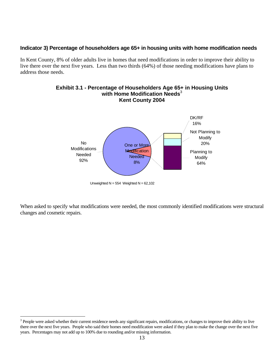#### **Indicator 3) Percentage of householders age 65+ in housing units with home modification needs**

In Kent County, 8% of older adults live in homes that need modifications in order to improve their ability to live there over the next five years. Less than two thirds (64%) of those needing modifications have plans to address those needs.

#### **Exhibit 3.1 - Percentage of Householders Age 65+ in Housing Units**  with Home Modification Needs<sup>3</sup> **Kent County 2004**  One or More **Modification Needed** 8% No **Modifications** Needed 92% Planning to **Modify** 64% Not Planning to **Modify** 20% DK/RF 16%

Unweighted  $N = 554$  Weighted  $N = 62,102$ 

When asked to specify what modifications were needed, the most commonly identified modifications were structural changes and cosmetic repairs.

 $3$  People were asked whether their current residence needs any significant repairs, modifications, or changes to improve their ability to live there over the next five years. People who said their homes need modification were asked if they plan to make the change over the next five years. Percentages may not add up to 100% due to rounding and/or missing information.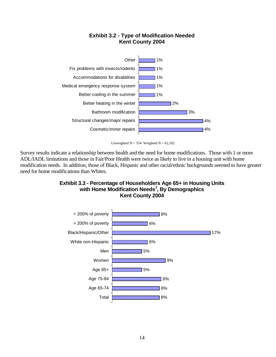#### **Exhibit 3.2 - Type of Modification Needed Kent County 2004**



Unweighted  $N = 554$  Weighted  $N = 62,102$ 

Survey results indicate a relationship between health and the need for home modifications. Those with 1 or more ADL/IADL limitations and those in Fair/Poor Health were twice as likely to live in a housing unit with home modification needs. In addition, those of Black, Hispanic and other racial/ethnic backgrounds seemed to have greater need for home modifications than Whites.

#### **Exhibit 3.3 - Percentage of Householders Age 65+ in Housing Units with Home Modification Needs**<sup>3</sup> **, By Demographics Kent County 2004**

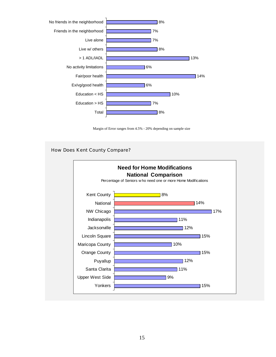

Margin of Error ranges from 4.5% - 20% depending on sample size

#### How Does Kent County Compare?

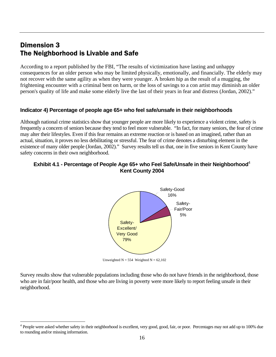# Dimension 3 The Neighborhood is Livable and Safe

 $\overline{a}$ 

According to a report published by the FBI, "The results of victimization have lasting and unhappy consequences for an older person who may be limited physically, emotionally, and financially. The elderly may not recover with the same agility as when they were younger. A broken hip as the result of a mugging, the frightening encounter with a criminal bent on harm, or the loss of savings to a con artist may diminish an older person's quality of life and make some elderly live the last of their years in fear and distress (Jordan, 2002)."

## **Indicator 4) Percentage of people age 65+ who feel safe/unsafe in their neighborhoods**

Although national crime statistics show that younger people are more likely to experience a violent crime, safety is frequently a concern of seniors because they tend to feel more vulnerable. "In fact, for many seniors, the fear of crime may alter their lifestyles. Even if this fear remains an extreme reaction or is based on an imagined, rather than an actual, situation, it proves no less debilitating or stressful. The fear of crime denotes a disturbing element in the existence of many older people (Jordan, 2002)." Survey results tell us that, one in five seniors in Kent County have safety concerns in their own neighborhood.

#### **Exhibit 4.1 - Percentage of People Age 65+ who Feel Safe/Unsafe in their Neighborhood**<sup>4</sup> **Kent County 2004**



Unweighted  $N = 554$  Weighted  $N = 62,102$ 

Survey results show that vulnerable populations including those who do not have friends in the neighborhood, those who are in fair/poor health, and those who are living in poverty were more likely to report feeling unsafe in their neighborhood.

<sup>&</sup>lt;sup>4</sup> People were asked whether safety in their neighborhood is excellent, very good, good, fair, or poor. Percentages may not add up to 100% due to rounding and/or missing information.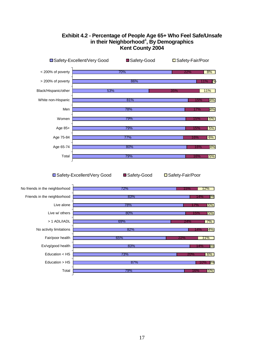

#### **Exhibit 4.2 - Percentage of People Age 65+ Who Feel Safe/Unsafe in their Neighborhood**<sup>4</sup> **, By Demographics Kent County 2004**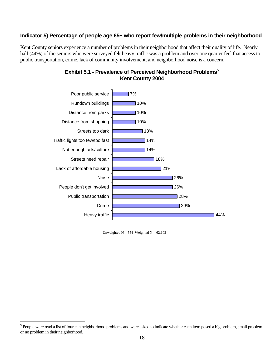#### **Indicator 5) Percentage of people age 65+ who report few/multiple problems in their neighborhood**

Kent County seniors experience a number of problems in their neighborhood that affect their quality of life. Nearly half (44%) of the seniors who were surveyed felt heavy traffic was a problem and over one quarter feel that access to public transportation, crime, lack of community involvement, and neighborhood noise is a concern.



## **Exhibit 5.1 - Prevalence of Perceived Neighborhood Problems**<sup>5</sup> **Kent County 2004**

Unweighted  $N = 554$  Weighted  $N = 62,102$ 

<sup>&</sup>lt;sup>5</sup> People were read a list of fourteen neighborhood problems and were asked to indicate whether each item posed a big problem, small problem or no problem in their neighborhood.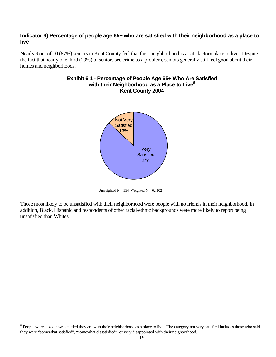#### **Indicator 6) Percentage of people age 65+ who are satisfied with their neighborhood as a place to live**

Nearly 9 out of 10 (87%) seniors in Kent County feel that their neighborhood is a satisfactory place to live. Despite the fact that nearly one third (29%) of seniors see crime as a problem, seniors generally still feel good about their homes and neighborhoods.



# **Exhibit 6.1 - Percentage of People Age 65+ Who Are Satisfied with their Neighborhood as a Place to Live**<sup>6</sup>

Unweighted  $N = 554$  Weighted  $N = 62,102$ 

Those most likely to be unsatisfied with their neighborhood were people with no friends in their neighborhood. In addition, Black, Hispanic and respondents of other racial/ethnic backgrounds were more likely to report being unsatisfied than Whites.

 $6$  People were asked how satisfied they are with their neighborhood as a place to live. The category not very satisfied includes those who said they were "somewhat satisfied", "somewhat dissatisfied", or very disappointed with their neighborhood.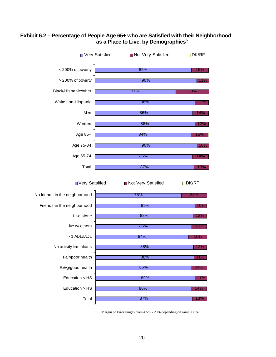#### **Exhibit 6.2 – Percentage of People Age 65+ who are Satisfied with their Neighborhood as a Place to Live, by Demographics**<sup>6</sup>



Margin of Error ranges from 4.5% - 20% depending on sample size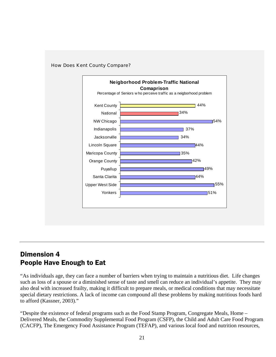

#### How Does Kent County Compare?

## Dimension 4 People Have Enough to Eat

"As individuals age, they can face a number of barriers when trying to maintain a nutritious diet. Life changes such as loss of a spouse or a diminished sense of taste and smell can reduce an individual's appetite. They may also deal with increased frailty, making it difficult to prepare meals, or medical conditions that may necessitate special dietary restrictions. A lack of income can compound all these problems by making nutritious foods hard to afford (Kassner, 2003)."

"Despite the existence of federal programs such as the Food Stamp Program, Congregate Meals, Home – Delivered Meals, the Commodity Supplemental Food Program (CSFP), the Child and Adult Care Food Program (CACFP), The Emergency Food Assistance Program (TEFAP), and various local food and nutrition resources,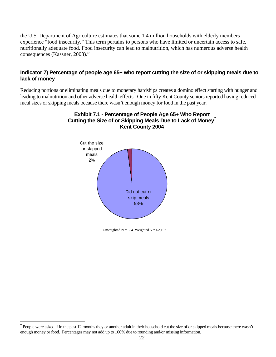the U.S. Department of Agriculture estimates that some 1.4 million households with elderly members experience "food insecurity." This term pertains to persons who have limited or uncertain access to safe, nutritionally adequate food. Food insecurity can lead to malnutrition, which has numerous adverse health consequences (Kassner, 2003)."

#### **Indicator 7) Percentage of people age 65+ who report cutting the size of or skipping meals due to lack of money**

Reducing portions or eliminating meals due to monetary hardships creates a domino effect starting with hunger and leading to malnutrition and other adverse health effects. One in fifty Kent County seniors reported having reduced meal sizes or skipping meals because there wasn't enough money for food in the past year.





Unweighted  $N = 554$  Weighted  $N = 62,102$ 

<sup>&</sup>lt;sup>7</sup> People were asked if in the past 12 months they or another adult in their household cut the size of or skipped meals because there wasn't enough money or food. Percentages may not add up to 100% due to rounding and/or missing information.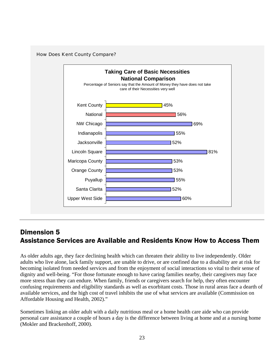

# Dimension 5 Assistance Services are Available and Residents Know How to Access Them

As older adults age, they face declining health which can threaten their ability to live independently. Older adults who live alone, lack family support, are unable to drive, or are confined due to a disability are at risk for becoming isolated from needed services and from the enjoyment of social interactions so vital to their sense of dignity and well-being. "For those fortunate enough to have caring families nearby, their caregivers may face more stress than they can endure. When family, friends or caregivers search for help, they often encounter confusing requirements and eligibility standards as well as exorbitant costs. Those in rural areas face a dearth of available services, and the high cost of travel inhibits the use of what services are available (Commission on Affordable Housing and Health, 2002)."

Sometimes linking an older adult with a daily nutritious meal or a home health care aide who can provide personal care assistance a couple of hours a day is the difference between living at home and at a nursing home (Mokler and Brackenhoff, 2000).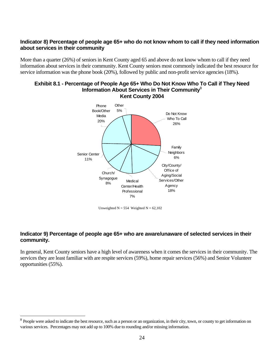#### **Indicator 8) Percentage of people age 65+ who do not know whom to call if they need information about services in their community**

More than a quarter (26%) of seniors in Kent County aged 65 and above do not know whom to call if they need information about services in their community. Kent County seniors most commonly indicated the best resource for service information was the phone book (20%), followed by public and non-profit service agencies (18%).

#### **Exhibit 8.1 - Percentage of People Age 65+ Who Do Not Know Who To Call if They Need Information About Services in Their Community**<sup>8</sup> **Kent County 2004**



Unweighted  $N = 554$  Weighted  $N = 62,102$ 

## **Indicator 9) Percentage of people age 65+ who are aware/unaware of selected services in their community.**

In general, Kent County seniors have a high level of awareness when it comes the services in their community. The services they are least familiar with are respite services (59%), home repair services (56%) and Senior Volunteer opportunities (55%).

<sup>&</sup>lt;sup>8</sup> People were asked to indicate the best resource, such as a person or an organization, in their city, town, or county to get information on various services. Percentages may not add up to 100% due to rounding and/or missing information.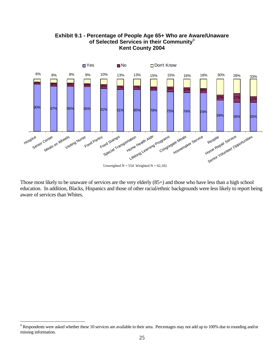

**Exhibit 9.1 - Percentage of People Age 65+ Who are Aware/Unaware of Selected Services in their Community**<sup>9</sup> **Kent County 2004** 

Those most likely to be unaware of services are the very elderly (85+) and those who have less than a high school education. In addition, Blacks, Hispanics and those of other racial/ethnic backgrounds were less likely to report being aware of services than Whites.

1

 $9$  Respondents were asked whether these 10 services are available in their area. Percentages may not add up to 100% due to rounding and/or missing information.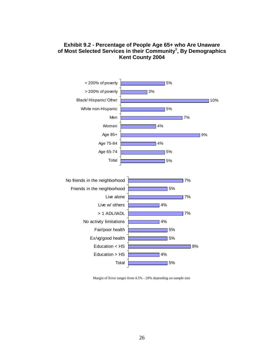

#### **Exhibit 9.2 - Percentage of People Age 65+ who Are Unaware**  of Most Selected Services in their Community<sup>9</sup>, By Demographics **Kent County 2004**

Margin of Error ranges from 4.5% - 20% depending on sample size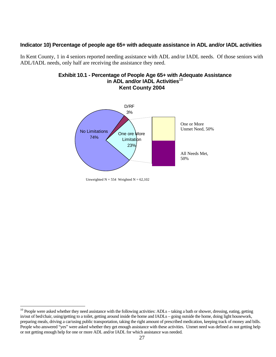#### **Indicator 10) Percentage of people age 65+ with adequate assistance in ADL and/or IADL activities**

In Kent County, 1 in 4 seniors reported needing assistance with ADL and/or IADL needs. Of those seniors with ADL/IADL needs, only half are receiving the assistance they need.





Unweighted  $N = 554$  Weighted  $N = 62,102$ 

 $10$  People were asked whether they need assistance with the following activities: ADLs – taking a bath or shower, dressing, eating, getting in/out of bed/chair, using/getting to a toilet, getting around inside the home and IADLs – going outside the home, doing light housework, preparing meals, driving a car/using public transportation, taking the right amount of prescribed medication, keeping track of money and bills. People who answered "yes" were asked whether they get enough assistance with these activities. Unmet need was defined as not getting help or not getting enough help for one or more ADL and/or IADL for which assistance was needed.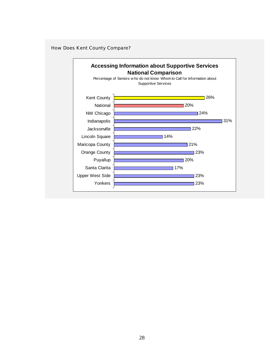#### How Does Kent County Compare?

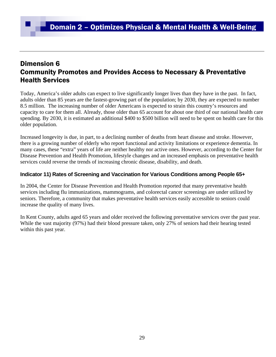## Dimension 6 Community Promotes and Provides Access to Necessary & Preventative Health Services

Today, America's older adults can expect to live significantly longer lives than they have in the past. In fact, adults older than 85 years are the fastest-growing part of the population; by 2030, they are expected to number 8.5 million. The increasing number of older Americans is expected to strain this country's resources and capacity to care for them all. Already, those older than 65 account for about one third of our national health care spending. By 2030, it is estimated an additional \$400 to \$500 billion will need to be spent on health care for this older population.

Increased longevity is due, in part, to a declining number of deaths from heart disease and stroke. However, there is a growing number of elderly who report functional and activity limitations or experience dementia. In many cases, these "extra" years of life are neither healthy nor active ones. However, according to the Center for Disease Prevention and Health Promotion, lifestyle changes and an increased emphasis on preventative health services could reverse the trends of increasing chronic disease, disability, and death.

## **Indicator 11) Rates of Screening and Vaccination for Various Conditions among People 65+**

In 2004, the Center for Disease Prevention and Health Promotion reported that many preventative health services including flu immunizations, mammograms, and colorectal cancer screenings are under utilized by seniors. Therefore, a community that makes preventative health services easily accessible to seniors could increase the quality of many lives.

In Kent County, adults aged 65 years and older received the following preventative services over the past year. While the vast majority (97%) had their blood pressure taken, only 27% of seniors had their hearing tested within this past year.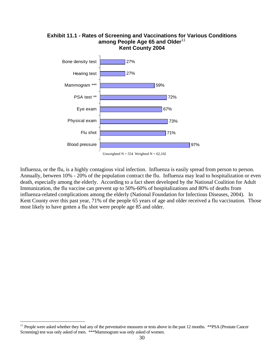

Influenza, or the flu, is a highly contagious viral infection. Influenza is easily spread from person to person. Annually, between 10% - 20% of the population contract the flu. Influenza may lead to hospitalization or even death, especially among the elderly. According to a fact sheet developed by the National Coalition for Adult Immunization, the flu vaccine can prevent up to 50%-60% of hospitalizations and 80% of deaths from influenza-related complications among the elderly (National Foundation for Infectious Diseases, 2004). In Kent County over this past year, 71% of the people 65 years of age and older received a flu vaccination. Those most likely to have gotten a flu shot were people age 85 and older.

<sup>&</sup>lt;sup>11</sup> People were asked whether they had any of the preventative measures or tests above in the past 12 months. \*\*PSA (Prostate Cancer Screening) test was only asked of men. \*\*\*Mammogram was only asked of women.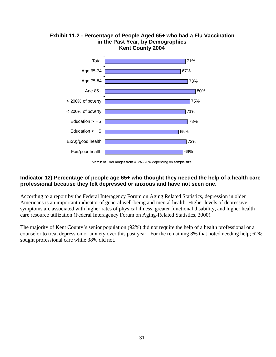

## **Exhibit 11.2 - Percentage of People Aged 65+ who had a Flu Vaccination in the Past Year, by Demographics Kent County 2004**

#### **Indicator 12) Percentage of people age 65+ who thought they needed the help of a health care professional because they felt depressed or anxious and have not seen one.**

According to a report by the Federal Interagency Forum on Aging Related Statistics, depression in older Americans is an important indicator of general well-being and mental health. Higher levels of depressive symptoms are associated with higher rates of physical illness, greater functional disability, and higher health care resource utilization (Federal Interagency Forum on Aging-Related Statistics, 2000).

The majority of Kent County's senior population (92%) did not require the help of a health professional or a counselor to treat depression or anxiety over this past year. For the remaining 8% that noted needing help; 62% sought professional care while 38% did not.

Margin of Error ranges from 4.5% - 20% depending on sample size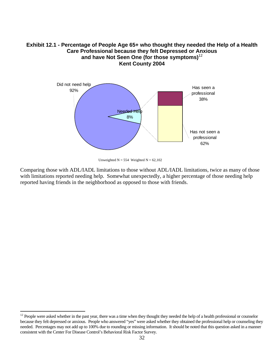#### **Exhibit 12.1 - Percentage of People Age 65+ who thought they needed the Help of a Health Care Professional because they felt Depressed or Anxious and have Not Seen One (for those symptoms)**<sup>12</sup> **Kent County 2004**



Unweighted  $N = 554$  Weighted  $N = 62,102$ 

Comparing those with ADL/IADL limitations to those without ADL/IADL limitations, twice as many of those with limitations reported needing help. Somewhat unexpectedly, a higher percentage of those needing help reported having friends in the neighborhood as opposed to those with friends.

 $12$  People were asked whether in the past year, there was a time when they thought they needed the help of a health professional or counselor because they felt depressed or anxious. People who answered "yes" were asked whether they obtained the professional help or counseling they needed. Percentages may not add up to 100% due to rounding or missing information. It should be noted that this question asked in a manner consistent with the Center For Disease Control's Behavioral Risk Factor Survey.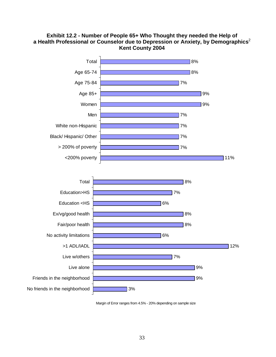#### **Exhibit 12.2 - Number of People 65+ Who Thought they needed the Help of a Health Professional or Counselor due to Depression or Anxiety, by Demographics**<sup>2</sup> **Kent County 2004**



Margin of Error ranges from 4.5% - 20% depending on sample size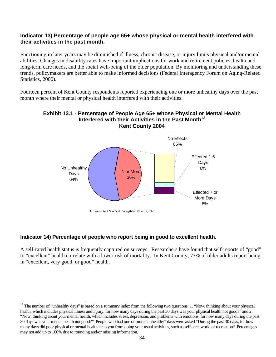#### **Indicator 13) Percentage of people age 65+ whose physical or mental health interfered with their activities in the past month.**

Functioning in later years may be diminished if illness, chronic disease, or injury limits physical and/or mental abilities. Changes in disability rates have important implications for work and retirement policies, health and long-term care needs, and the social well-being of the older population. By monitoring and understanding these trends, policymakers are better able to make informed decisions (Federal Interagency Forum on Aging-Related Statistics, 2000).

Fourteen percent of Kent County respondents reported experiencing one or more unhealthy days over the past month where their mental or physical health interfered with their activities.

#### **Exhibit 13.1 - Percentage of People Age 65+ whose Physical or Mental Health Interfered with their Activities in the Past Month**<sup>13</sup> **Kent County 2004**



#### **Indicator 14) Percentage of people who report being in good to excellent health.**

A self-rated health status is frequently captured on surveys. Researchers have found that self-reports of "good" to "excellent" health correlate with a lower risk of mortality. In Kent County, 77% of older adults report being in "excellent, very good, or good" health.

 $\overline{a}$ <sup>13</sup> The number of "unhealthy days" is based on a summary index from the following two questions: 1. "Now, thinking about your physical health, which includes physical illness and injury, for how many days during the past 30 days was your physical health not good?" and 2. "Now, thinking about your mental health, which includes stress, depression, and problems with emotions, for how many days during the past 30 days was your mental health not good?" People who had one or more "unhealthy" days were asked "During the past 30 days, for how many days did poor physical or mental health keep you from doing your usual activities, such as self care, work, or recreation? Percentages may not add up to 100% due to rounding and/or missing information.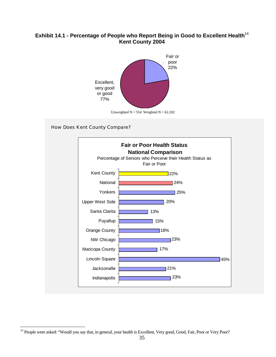## **Exhibit 14.1 - Percentage of People who Report Being in Good to Excellent Health**<sup>14</sup> **Kent County 2004**



#### How Does Kent County Compare?



 $\overline{a}$ <sup>14</sup> People were asked: "Would you say that, in general, your health is Excellent, Very good, Good, Fair, Poor or Very Poor?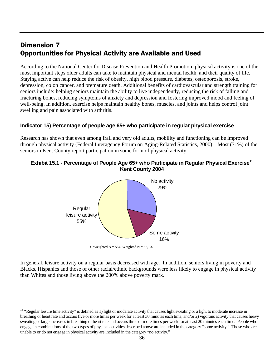# Dimension 7 Opportunities for Physical Activity are Available and Used

According to the National Center for Disease Prevention and Health Promotion, physical activity is one of the most important steps older adults can take to maintain physical and mental health, and their quality of life. Staying active can help reduce the risk of obesity, high blood pressure, diabetes, osteoporosis, stroke, depression, colon cancer, and premature death. Additional benefits of cardiovascular and strength training for seniors include: helping seniors maintain the ability to live independently, reducing the risk of falling and fracturing bones, reducing symptoms of anxiety and depression and fostering improved mood and feeling of well-being. In addition, exercise helps maintain healthy bones, muscles, and joints and helps control joint swelling and pain associated with arthritis.

## **Indicator 15) Percentage of people age 65+ who participate in regular physical exercise**

Research has shown that even among frail and very old adults, mobility and functioning can be improved through physical activity (Federal Interagency Forum on Aging-Related Statistics, 2000). Most (71%) of the seniors in Kent County report participation in some form of physical activity.

#### **Exhibit 15.1 - Percentage of People Age 65+ who Participate in Regular Physical Exercise**<sup>15</sup> **Kent County 2004**



Unweighted  $N = 554$  Weighted  $N = 62,102$ 

1

In general, leisure activity on a regular basis decreased with age. In addition, seniors living in poverty and Blacks, Hispanics and those of other racial/ethnic backgrounds were less likely to engage in physical activity than Whites and those living above the 200% above poverty mark.

<sup>&</sup>lt;sup>15</sup> "Regular leisure time activity" is defined as 1) light or moderate activity that causes light sweating or a light to moderate increase in breathing or heart rate and occurs five or more times per week for at least 30 minutes each time, and/or 2) vigorous activity that causes heavy sweating or large increases in breathing or heart rate and occurs three or more times per week for at least 20 minutes each time. People who engage in combinations of the two types of physical activities described above are included in the category "some activity." Those who are unable to or do not engage in physical activity are included in the category "no activity."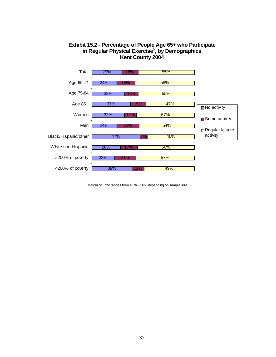

#### **Exhibit 15.2 - Percentage of People Age 65+ who Participate in Regular Physical Exercise**<sup>5</sup> **, by Demographics Kent County 2004**

Margin of Error ranges from 4.5% - 20% depending on sample size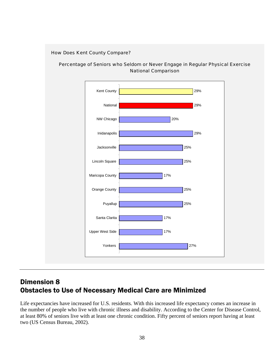#### How Does Kent County Compare?





## Dimension 8 Obstacles to Use of Necessary Medical Care are Minimized

Life expectancies have increased for U.S. residents. With this increased life expectancy comes an increase in the number of people who live with chronic illness and disability. According to the Center for Disease Control, at least 80% of seniors live with at least one chronic condition. Fifty percent of seniors report having at least two (US Census Bureau, 2002).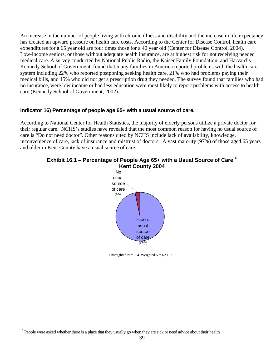An increase in the number of people living with chronic illness and disability and the increase in life expectancy has created an upward pressure on health care costs. According to the Center for Disease Control, health care expenditures for a 65 year old are four times those for a 40 year old (Center for Disease Control, 2004). Low-income seniors, or those without adequate health insurance, are at highest risk for not receiving needed medical care. A survey conducted by National Public Radio, the Kaiser Family Foundation, and Harvard's Kennedy School of Government, found that many families in America reported problems with the health care system including 22% who reported postponing seeking health care, 21% who had problems paying their medical bills, and 15% who did not get a prescription drug they needed. The survey found that families who had no insurance, were low income or had less education were most likely to report problems with access to health care (Kennedy School of Government, 2002).

#### **Indicator 16) Percentage of people age 65+ with a usual source of care.**

According to National Center for Health Statistics, the majority of elderly persons utilize a private doctor for their regular care. NCHS's studies have revealed that the most common reason for having no usual source of care is "Do not need doctor". Other reasons cited by NCHS include lack of availability, knowledge, inconvenience of care, lack of insurance and mistrust of doctors. A vast majority (97%) of those aged 65 years and older in Kent County have a usual source of care.



#### **Exhibit 16.1 – Percentage of People Age 65+ with a Usual Source of Care**<sup>16</sup> **Kent County 2004**

Unweighted  $N = 554$  Weighted  $N = 62,102$ 

 $\overline{a}$ <sup>16</sup> People were asked whether there is a place that they usually go when they are sick or need advice about their health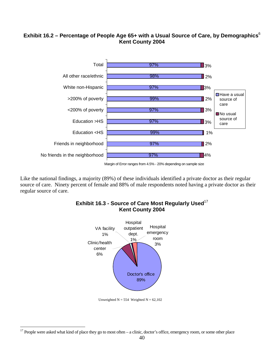## **Exhibit 16.2 – Percentage of People Age 65+ with a Usual Source of Care, by Demographics**<sup>6</sup> **Kent County 2004**



Like the national findings, a majority (89%) of these individuals identified a private doctor as their regular source of care. Ninety percent of female and 88% of male respondents noted having a private doctor as their regular source of care.



**Exhibit 16.3 - Source of Care Most Regularly Used**<sup>17</sup> **Kent County 2004** 

Unweighted  $N = 554$  Weighted  $N = 62,102$ 

 $\overline{a}$  $17$  People were asked what kind of place they go to most often – a clinic, doctor's office, emergency room, or some other place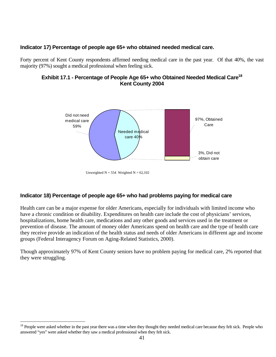#### **Indicator 17) Percentage of people age 65+ who obtained needed medical care.**

Forty percent of Kent County respondents affirmed needing medical care in the past year. Of that 40%, the vast majority (97%) sought a medical professional when feeling sick.

#### **Exhibit 17.1 - Percentage of People Age 65+ who Obtained Needed Medical Care18 Kent County 2004**



Unweighted  $N = 554$  Weighted  $N = 62,102$ 

#### **Indicator 18) Percentage of people age 65+ who had problems paying for medical care**

Health care can be a major expense for older Americans, especially for individuals with limited income who have a chronic condition or disability. Expenditures on health care include the cost of physicians' services, hospitalizations, home health care, medications and any other goods and services used in the treatment or prevention of disease. The amount of money older Americans spend on health care and the type of health care they receive provide an indication of the health status and needs of older Americans in different age and income groups (Federal Interagency Forum on Aging-Related Statistics, 2000).

Though approximately 97% of Kent County seniors have no problem paying for medical care, 2% reported that they were struggling.

<sup>&</sup>lt;sup>18</sup> People were asked whether in the past year there was a time when they thought they needed medical care because they felt sick. People who answered "yes" were asked whether they saw a medical professional when they felt sick.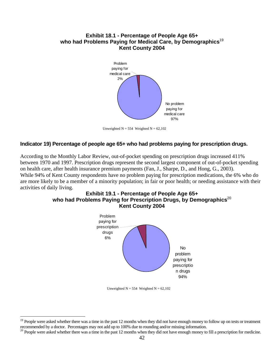#### **Exhibit 18.1 - Percentage of People Age 65+ who had Problems Paying for Medical Care, by Demographics**<sup>19</sup> **Kent County 2004**



Unweighted  $N = 554$  Weighted  $N = 62,102$ 

#### **Indicator 19) Percentage of people age 65+ who had problems paying for prescription drugs.**

According to the Monthly Labor Review, out-of-pocket spending on prescription drugs increased 411% between 1970 and 1997. Prescription drugs represent the second largest component of out-of-pocket spending on health care, after health insurance premium payments (Fan, J., Sharpe, D., and Hong, G., 2003). While 94% of Kent County respondents have no problem paying for prescription medications, the 6% who do are more likely to be a member of a minority population; in fair or poor health; or needing assistance with their activities of daily living.

#### **Exhibit 19.1 - Percentage of People Age 65+**  who had Problems Paying for Prescription Drugs, by Demographics<sup>20</sup> **Kent County 2004**



Unweighted  $N = 554$  Weighted  $N = 62,102$ 

<u>.</u>

<sup>&</sup>lt;sup>19</sup> People were asked whether there was a time in the past 12 months when they did not have enough money to follow up on tests or treatment recommended by a doctor. Percentages may not add up to 100% due to rounding and/or missing information.

 $20$  People were asked whether there was a time in the past 12 months when they did not have enough money to fill a prescription for medicine.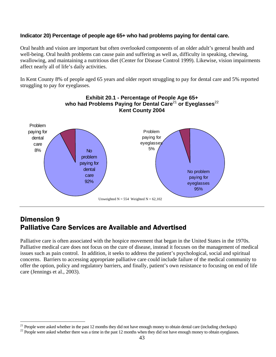#### **Indicator 20) Percentage of people age 65+ who had problems paying for dental care.**

Oral health and vision are important but often overlooked components of an older adult's general health and well-being. Oral health problems can cause pain and suffering as well as, difficulty in speaking, chewing, swallowing, and maintaining a nutritious diet (Center for Disease Control 1999). Likewise, vision impairments affect nearly all of life's daily activities.

In Kent County 8% of people aged 65 years and older report struggling to pay for dental care and 5% reported struggling to pay for eyeglasses.



## Dimension 9 Palliative Care Services are Available and Advertised

Palliative care is often associated with the hospice movement that began in the United States in the 1970s. Palliative medical care does not focus on the cure of disease, instead it focuses on the management of medical issues such as pain control. In addition, it seeks to address the patient's psychological, social and spiritual concerns. Barriers to accessing appropriate palliative care could include failure of the medical community to offer the option, policy and regulatory barriers, and finally, patient's own resistance to focusing on end of life care (Jennings et al., 2003).

 $\overline{a}$  $21$  People were asked whether in the past 12 months they did not have enough money to obtain dental care (including checkups)

 $^{22}$  People were asked whether there was a time in the past 12 months when they did not have enough money to obtain eyeglasses.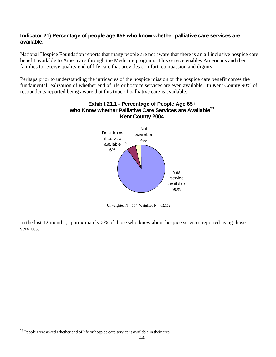#### **Indicator 21) Percentage of people age 65+ who know whether palliative care services are available.**

National Hospice Foundation reports that many people are not aware that there is an all inclusive hospice care benefit available to Americans through the Medicare program. This service enables Americans and their families to receive quality end of life care that provides comfort, compassion and dignity.

Perhaps prior to understanding the intricacies of the hospice mission or the hospice care benefit comes the fundamental realization of whether end of life or hospice services are even available. In Kent County 90% of respondents reported being aware that this type of palliative care is available.



# **Exhibit 21.1 - Percentage of People Age 65+ who Know whether Palliative Care Services are Available**<sup>23</sup>

Unweighted  $N = 554$  Weighted  $N = 62,102$ 

In the last 12 months, approximately 2% of those who knew about hospice services reported using those services.

 $\overline{a}$  $^{23}$  People were asked whether end of life or hospice care service is available in their area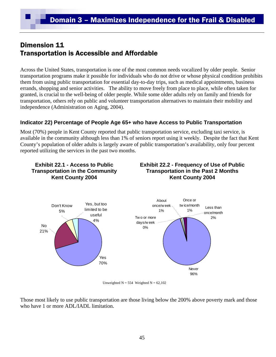# Dimension 11 Transportation is Accessible and Affordable

Across the United States, transportation is one of the most common needs vocalized by older people. Senior transportation programs make it possible for individuals who do not drive or whose physical condition prohibits them from using public transportation for essential day-to-day trips, such as medical appointments, business errands, shopping and senior activities. The ability to move freely from place to place, while often taken for granted, is crucial to the well-being of older people. While some older adults rely on family and friends for transportation, others rely on public and volunteer transportation alternatives to maintain their mobility and independence (Administration on Aging, 2004).

## **Indicator 22) Percentage of People Age 65+ who have Access to Public Transportation**

Most (70%) people in Kent County reported that public transportation service, excluding taxi service, is available in the community although less than 1% of seniors report using it weekly. Despite the fact that Kent County's population of older adults is largely aware of public transportation's availability, only four percent reported utilizing the services in the past two months.



Unweighted  $N = 554$  Weighted  $N = 62,102$ 

Those most likely to use public transportation are those living below the 200% above poverty mark and those who have 1 or more ADL/IADL limitation.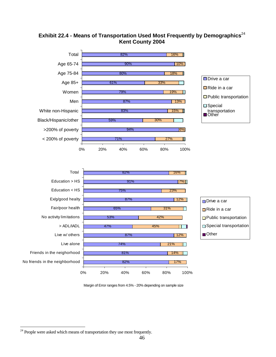







Margin of Error ranges from 4.5% - 20% depending on sample size

<sup>1</sup>  $24$  People were asked which means of transportation they use most frequently.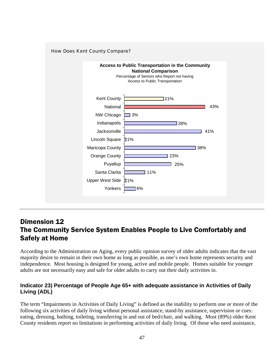

## Dimension 12 The Community Service System Enables People to Live Comfortably and Safely at Home

According to the Administration on Aging, every public opinion survey of older adults indicates that the vast majority desire to remain in their own home as long as possible, as one's own home represents security and independence. Most housing is designed for young, active and mobile people. Homes suitable for younger adults are not necessarily easy and safe for older adults to carry out their daily activities in.

## **Indicator 23) Percentage of People Age 65+ with adequate assistance in Activities of Daily Living (ADL)**

The term "Impairments in Activities of Daily Living" is defined as the inability to perform one or more of the following six activities of daily living without personal assistance, stand-by assistance, supervision or cues: eating, dressing, bathing, toileting, transferring in and out of bed/chair, and walking. Most (89%) older Kent County residents report no limitations in performing activities of daily living. Of those who need assistance,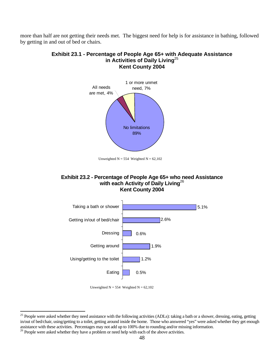more than half are not getting their needs met. The biggest need for help is for assistance in bathing, followed by getting in and out of bed or chairs.

# **Exhibit 23.1 - Percentage of People Age 65+ with Adequate Assistance in Activities of Daily Living**<sup>25</sup> **Kent County 2004**



Unweighted  $N = 554$  Weighted  $N = 62,102$ 

#### **Exhibit 23.2 - Percentage of People Age 65+ who need Assistance with each Activity of Daily Living**<sup>26</sup> **Kent County 2004**





<sup>&</sup>lt;sup>25</sup> People were asked whether they need assistance with the following activities (ADLs): taking a bath or a shower, dressing, eating, getting in/out of bed/chair, using/getting to a toilet, getting around inside the home. Those who answered "yes" were asked whether they get enough assistance with these activities. Percentages may not add up to 100% due to rounding and/or missing information. 26 People were asked whether they have a problem or need help with each of the above activities.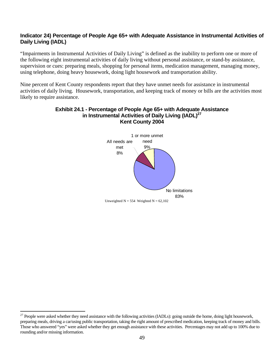#### **Indicator 24) Percentage of People Age 65+ with Adequate Assistance in Instrumental Activities of Daily Living (IADL)**

"Impairments in Instrumental Activities of Daily Living" is defined as the inability to perform one or more of the following eight instrumental activities of daily living without personal assistance, or stand-by assistance, supervision or cues: preparing meals, shopping for personal items, medication management, managing money, using telephone, doing heavy housework, doing light housework and transportation ability.

Nine percent of Kent County respondents report that they have unmet needs for assistance in instrumental activities of daily living. Housework, transportation, and keeping track of money or bills are the activities most likely to require assistance.

#### **Exhibit 24.1 - Percentage of People Age 65+ with Adequate Assistance in Instrumental Activities of Daily Living (IADL)27 Kent County 2004**



 $^{27}$  People were asked whether they need assistance with the following activities (IADLs): going outside the home, doing light housework, preparing meals, driving a car/using public transportation, taking the right amount of prescribed medication, keeping track of money and bills. Those who answered "yes" were asked whether they get enough assistance with these activities. Percentages may not add up to 100% due to rounding and/or missing information.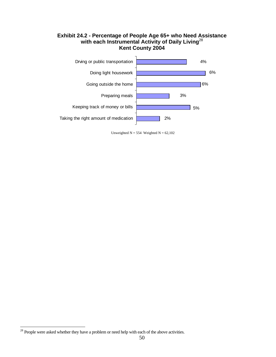#### **Exhibit 24.2 - Percentage of People Age 65+ who Need Assistance with each Instrumental Activity of Daily Living**<sup>28</sup> **Kent County 2004**



Unweighted  $N = 554$  Weighted  $N = 62,102$ 

 $28$  People were asked whether they have a problem or need help with each of the above activities.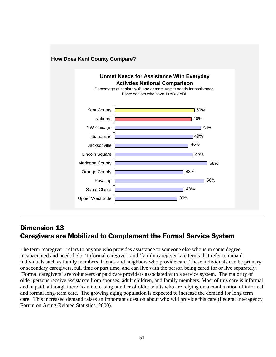

## **How Does Kent County Compare?**

## Dimension 13 Caregivers are Mobilized to Complement the Formal Service System

The term 'caregiver' refers to anyone who provides assistance to someone else who is in some degree incapacitated and needs help. 'Informal caregiver' and 'family caregiver' are terms that refer to unpaid individuals such as family members, friends and neighbors who provide care. These individuals can be primary or secondary caregivers, full time or part time, and can live with the person being cared for or live separately. 'Formal caregivers' are volunteers or paid care providers associated with a service system. The majority of older persons receive assistance from spouses, adult children, and family members. Most of this care is informal and unpaid, although there is an increasing number of older adults who are relying on a combination of informal and formal long-term care. The growing aging population is expected to increase the demand for long term care. This increased demand raises an important question about who will provide this care (Federal Interagency Forum on Aging-Related Statistics, 2000).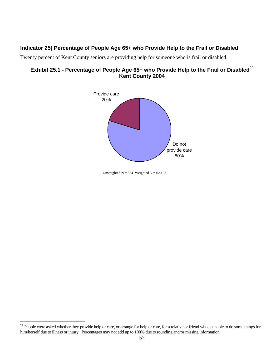## **Indicator 25) Percentage of People Age 65+ who Provide Help to the Frail or Disabled**

Twenty percent of Kent County seniors are providing help for someone who is frail or disabled.

#### **Exhibit 25.1 - Percentage of People Age 65+ who Provide Help to the Frail or Disabled**<sup>29</sup> **Kent County 2004**



Unweighted  $N = 554$  Weighted  $N = 62,102$ 

<sup>&</sup>lt;sup>29</sup> People were asked whether they provide help or care, or arrange for help or care, for a relative or friend who is unable to do some things for him/herself due to illness or injury. Percentages may not add up to 100% due to rounding and/or missing information.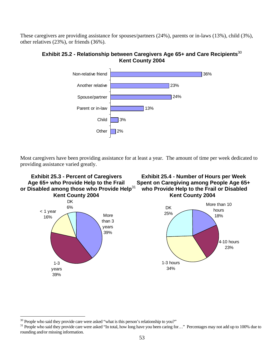These caregivers are providing assistance for spouses/partners (24%), parents or in-laws (13%), child (3%), other relatives (23%), or friends (36%).

**Exhibit 25.2 - Relationship between Caregivers Age 65+ and Care Recipients**<sup>30</sup> **Kent County 2004**



Most caregivers have been providing assistance for at least a year. The amount of time per week dedicated to providing assistance varied greatly.



<sup>&</sup>lt;sup>30</sup> People who said they provide care were asked "what is this person's relationship to you?"

<sup>&</sup>lt;sup>31</sup> People who said they provide care were asked "In total, how long have you been caring for..." Percentages may not add up to 100% due to rounding and/or missing information.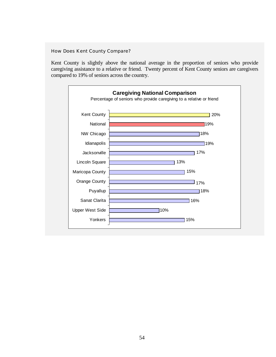#### How Does Kent County Compare?

Kent County is slightly above the national average in the proportion of seniors who provide caregiving assistance to a relative or friend. Twenty percent of Kent County seniors are caregivers compared to 19% of seniors across the country.

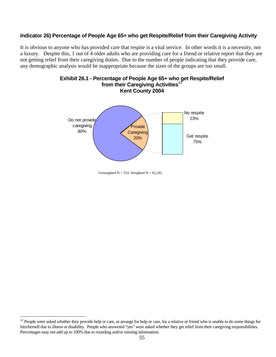#### **Indicator 26) Percentage of People Age 65+ who get Respite/Relief from their Caregiving Activity**

It is obvious to anyone who has provided care that respite is a vital service. In other words it is a necessity, not a luxury. Despite this, 1 out of 4 older adults who are providing care for a friend or relative report that they are not getting relief from their caregiving duties. Due to the number of people indicating that they provide care, any demographic analysis would be inappropriate because the sizes of the groups are too small.





<u>.</u>

Unweighted  $N = 554$  Weighted  $N = 62,102$ 

 $32$  People were asked whether they provide help or care, or arrange for help or care, for a relative or friend who is unable to do some things for him/herself due to illness or disability. People who answered "yes" were asked whether they get relief from their caregiving responsibilities. Percentages may not add up to 100% due to rounding and/or missing information.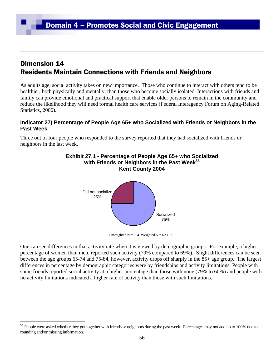## Dimension 14 Residents Maintain Connections with Friends and Neighbors

As adults age, social activity takes on new importance. Those who continue to interact with others tend to be healthier, both physically and mentally, than those who become socially isolated. Interactions with friends and family can provide emotional and practical support that enable older persons to remain in the community and reduce the likelihood they will need formal health care services (Federal Interagency Forum on Aging-Related Statistics, 2000).

#### **Indicator 27) Percentage of People Age 65+ who Socialized with Friends or Neighbors in the Past Week**

Three out of four people who responded to the survey reported that they had socialized with friends or neighbors in the last week.



Unweighted  $N = 554$  Weighted  $N = 62,102$ 

One can see differences in that activity rate when it is viewed by demographic groups. For example, a higher percentage of women than men, reported such activity (79% compared to 69%). Slight differences can be seen between the age groups 65-74 and 75-84, however, activity drops off sharply in the 85+ age group. The largest differences in percentage by demographic categories were by friendships and activity limitations. People with some friends reported social activity at a higher percentage than those with none (79% to 60%) and people with no activity limitations indicated a higher rate of activity than those with such limitations.

<sup>&</sup>lt;sup>33</sup> People were asked whether they got together with friends or neighbors during the past week. Percentages may not add up to 100% due to rounding and/or missing information.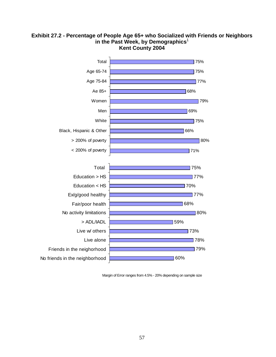

#### **Exhibit 27.2 - Percentage of People Age 65+ who Socialized with Friends or Neighbors**  in the Past Week, by Demographics<sup>1</sup> **Kent County 2004**

Margin of Error ranges from 4.5% - 20% depending on sample size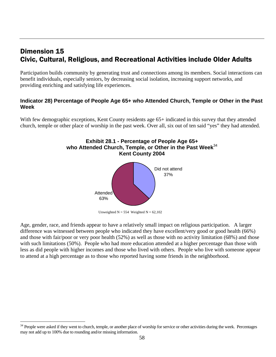## Dimension 15 Civic, Cultural, Religious, and Recreational Activities include Older Adults

Participation builds community by generating trust and connections among its members. Social interactions can benefit individuals, especially seniors, by decreasing social isolation, increasing support networks, and providing enriching and satisfying life experiences.

#### **Indicator 28) Percentage of People Age 65+ who Attended Church, Temple or Other in the Past Week**

With few demographic exceptions, Kent County residents age 65+ indicated in this survey that they attended church, temple or other place of worship in the past week. Over all, six out of ten said "yes" they had attended.



Unweighted  $N = 554$  Weighted  $N = 62,102$ 

Age, gender, race, and friends appear to have a relatively small impact on religious participation. A larger difference was witnessed between people who indicated they have excellent/very good or good health (66%) and those with fair/poor or very poor health (52%) as well as those with no activity limitation (68%) and those with such limitations (50%). People who had more education attended at a higher percentage than those with less as did people with higher incomes and those who lived with others. People who live with someone appear to attend at a high percentage as to those who reported having some friends in the neighborhood.

1

<sup>&</sup>lt;sup>34</sup> People were asked if they went to church, temple, or another place of worship for service or other activities during the week. Percentages may not add up to 100% due to rounding and/or missing information.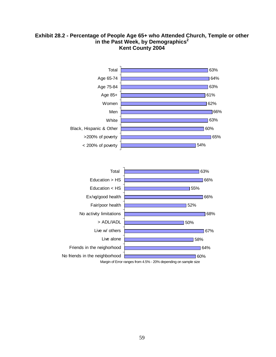#### **Exhibit 28.2 - Percentage of People Age 65+ who Attended Church, Temple or other**  in the Past Week, by Demographics<sup>2</sup> **Kent County 2004**

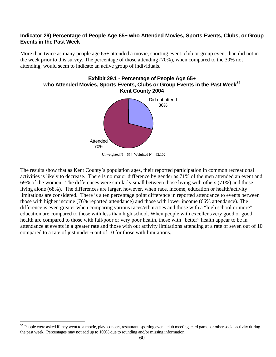#### **Indicator 29) Percentage of People Age 65+ who Attended Movies, Sports Events, Clubs, or Group Events in the Past Week**

More than twice as many people age 65+ attended a movie, sporting event, club or group event than did not in the week prior to this survey. The percentage of those attending (70%), when compared to the 30% not attending, would seem to indicate an active group of individuals.



Unweighted  $N = 554$  Weighted  $N = 62,102$ 

The results show that as Kent County's population ages, their reported participation in common recreational activities is likely to decrease. There is no major difference by gender as 71% of the men attended an event and 69% of the women. The differences were similarly small between those living with others (71%) and those living alone (68%). The differences are larger, however, when race, income, education or health/activity limitations are considered. There is a ten percentage point difference in reported attendance to events between those with higher income (76% reported attendance) and those with lower income (66% attendance). The difference is even greater when comparing various races/ethnicities and those with a "high school or more" education are compared to those with less than high school. When people with excellent/very good or good health are compared to those with fail/poor or very poor health, those with "better" health appear to be in attendance at events in a greater rate and those with out activity limitations attending at a rate of seven out of 10 compared to a rate of just under 6 out of 10 for those with limitations.

1

<sup>&</sup>lt;sup>35</sup> People were asked if they went to a movie, play, concert, restaurant, sporting event, club meeting, card game, or other social activity during the past week. Percentages may not add up to 100% due to rounding and/or missing information.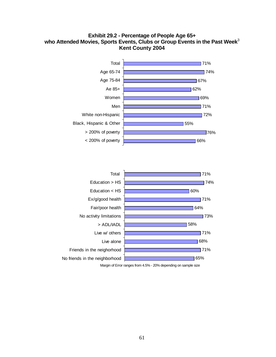#### **Exhibit 29.2 - Percentage of People Age 65+ who Attended Movies, Sports Events, Clubs or Group Events in the Past Week**<sup>3</sup> **Kent County 2004**



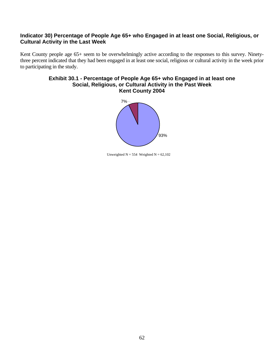#### **Indicator 30) Percentage of People Age 65+ who Engaged in at least one Social, Religious, or Cultural Activity in the Last Week**

Kent County people age 65+ seem to be overwhelmingly active according to the responses to this survey. Ninetythree percent indicated that they had been engaged in at least one social, religious or cultural activity in the week prior to participating in the study.

#### **Exhibit 30.1 - Percentage of People Age 65+ who Engaged in at least one Social, Religious, or Cultural Activity in the Past Week Kent County 2004**



Unweighted  $N = 554$  Weighted  $N = 62,102$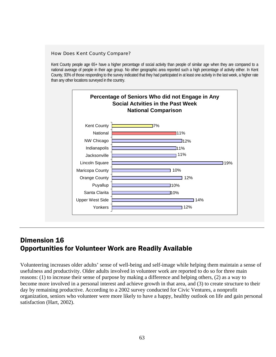#### How Does Kent County Compare?

Kent County people age 65+ have a higher percentage of social activity than people of similar age when they are compared to a national average of people in their age group. No other geographic area reported such a high percentage of activity either. In Kent County, 93% of those responding to the survey indicated that they had participated in at least one activity in the last week, a higher rate than any other locations surveyed in the country.



## Dimension 16 Opportunities for Volunteer Work are Readily Available

Volunteering increases older adults' sense of well-being and self-image while helping them maintain a sense of usefulness and productivity. Older adults involved in volunteer work are reported to do so for three main reasons: (1) to increase their sense of purpose by making a difference and helping others, (2) as a way to become more involved in a personal interest and achieve growth in that area, and (3) to create structure to their day by remaining productive. According to a 2002 survey conducted for Civic Ventures, a nonprofit organization, seniors who volunteer were more likely to have a happy, healthy outlook on life and gain personal satisfaction (Hart, 2002).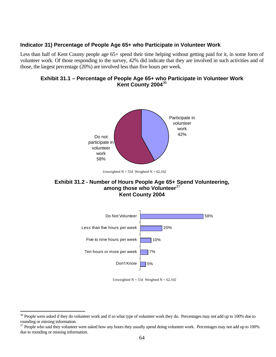#### **Indicator 31) Percentage of People Age 65+ who Participate in Volunteer Work**

Less than half of Kent County people age 65+ spend their time helping without getting paid for it, in some form of volunteer work. Of those responding to the survey, 42% did indicate that they are involved in such activities and of those, the largest percentage (20%) are involved less than five hours per week.

#### **Exhibit 31.1 – Percentage of People Age 65+ who Participate in Volunteer Work Kent County 2004**<sup>36</sup>



Unweighted  $N = 554$  Weighted  $N = 62,102$ 

#### **Exhibit 31.2 - Number of Hours People Age 65+ Spend Volunteering, among those who Volunteer**<sup>37</sup> **Kent County 2004**



Unweighted  $N = 554$  Weighted  $N = 62,102$ 

<sup>&</sup>lt;sup>36</sup> People were asked if they do volunteer work and if so what type of volunteer work they do. Percentages may not add up to 100% due to rounding or missing information.

<sup>&</sup>lt;sup>37</sup> People who said they volunteer were asked how any hours they usually spend doing volunteer work. Percentages may not add up to 100% due to rounding or missing information.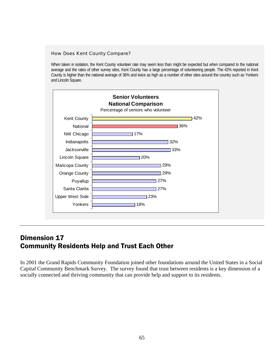#### How Does Kent County Compare?

When taken in isolation, the Kent County volunteer rate may seem less than might be expected but when compared to the national average and the rates of other survey sites, Kent County has a large percentage of volunteering people. The 42% reported in Kent County is higher than the national average of 36% and twice as high as a number of other sites around the country such as Yonkers and Lincoln Square.



## Dimension 17 Community Residents Help and Trust Each Other

In 2001 the Grand Rapids Community Foundation joined other foundations around the United States in a Social Capital Community Benchmark Survey. The survey found that trust between residents is a key dimension of a socially connected and thriving community that can provide help and support to its residents.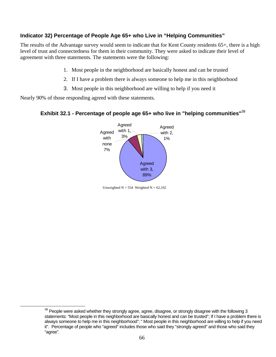## **Indicator 32) Percentage of People Age 65+ who Live in "Helping Communities"**

The results of the Advantage survey would seem to indicate that for Kent County residents 65+, there is a high level of trust and connectedness for them in their community. They were asked to indicate their level of agreement with three statements. The statements were the following:

- 1. Most people in the neighborhood are basically honest and can be trusted
- 2. If I have a problem there is always someone to help me in this neighborhood
- 3. Most people in this neighborhood are willing to help if you need it

Nearly 90% of those responding agreed with these statements.

## **Exhibit 32.1 - Percentage of people age 65+ who live in "helping communities"**<sup>38</sup>



Unweighted  $N = 554$  Weighted  $N = 62,102$ 

<sup>&</sup>lt;sup>38</sup> People were asked whether they strongly agree, agree, disagree, or strongly disagree with the following 3 statements: "Most people in this neighborhood are basically honest and can be trusted"; If I have a problem there is always someone to help me in this neighborhood"; " Most people in this neighborhood are willing to help if you need it". Percentage of people who "agreed" includes those who said they "strongly agreed" and those who said they "agree".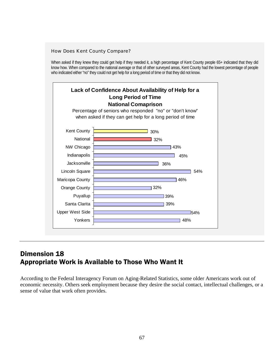#### How Does Kent County Compare?

When asked if they knew they could get help if they needed it, a high percentage of Kent County people 65+ indicated that they did know how. When compared to the national average or that of other surveyed areas, Kent County had the lowest percentage of people who indicated either "no" they could not get help for a long period of time or that they did not know.



## Dimension 18 Appropriate Work is Available to Those Who Want It

According to the Federal Interagency Forum on Aging-Related Statistics, some older Americans work out of economic necessity. Others seek employment because they desire the social contact, intellectual challenges, or a sense of value that work often provides.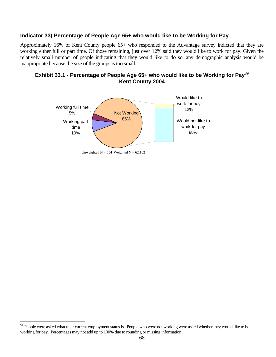#### **Indicator 33) Percentage of People Age 65+ who would like to be Working for Pay**

Approximately 16% of Kent County people 65+ who responded to the Advantage survey indicted that they are working either full or part time. Of those remaining, just over 12% said they would like to work for pay. Given the relatively small number of people indicating that they would like to do so, any demographic analysis would be inappropriate because the size of the groups is too small.

#### **Exhibit 33.1 - Percentage of People Age 65+ who would like to be Working for Pay**<sup>39</sup> **Kent County 2004**



Unweighted  $N = 554$  Weighted  $N = 62,102$ 

<sup>&</sup>lt;sup>39</sup> People were asked what their current employment status is. People who were not working were asked whether they would like to be working for pay. Percentages may not add up to 100% due to rounding or missing information.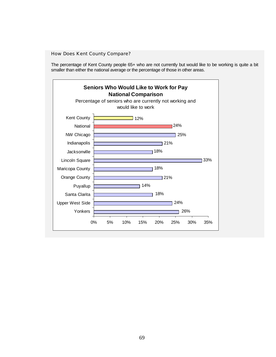#### How Does Kent County Compare?

The percentage of Kent County people 65+ who are not currently but would like to be working is quite a bit smaller than either the national average or the percentage of those in other areas.

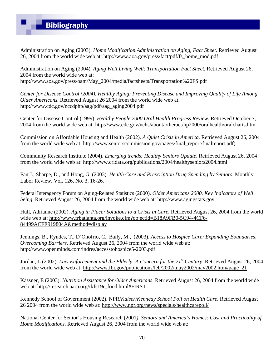Administration on Aging (2003). *Home Modification.Administration on Aging, Fact Sheet.* Retrieved August 26, 2004 from the world wide web at: http://www.aoa.gov/press/fact/pdf/fs\_home\_mod.pdf

Administration on Aging (2004). *Aging Well Living Well: Transportation Fact Sheet.* Retrieved August 26, 2004 from the world wide web at: http://www.aoa.gov/press/oam/May\_2004/media/factsheets/Transportation%20FS.pdf

*Center for Disease Control (2004). Healthy Aging: Preventing Disease and Improving Quality of Life Among Older Americans.* Retrieved August 26 2004 from the world wide web at: http://www.cdc.gov/nccdphp/aag/pdf/aag\_aging2004.pdf

Center for Disease Control (1999). *Healthy People 2000 Oral Health Progress Review*. Retrieved October 7, 2004 from the world wide web at: http://www.cdc.gov/nchs/about/otheract/hp2000/oralhealth/oralcharts.htm

Commission on Affordable Housing and Health (2002). *A Quiet Crisis in America*. Retrieved August 26, 2004 from the world wide web at: http://www.seniorscommission.gov/pages/final\_report/finalreport.pdf)

Community Research Institute (2004). *Emerging trends: Healthy Seniors Update*. Retrieved August 26, 2004 from the world wide web at: http://www.cridata.org/publications/2004/healthyseniors2004.html

Fan,J., Sharpe, D., and Hong, G. (2003). *Health Care and Prescription Drug Spending by Seniors*. Monthly Labor Review. Vol. 126, No. 3, 16-26.

Federal Interagency Forum on Aging-Related Statistics (2000). *Older Americans 2000. Key Indicators of Well being*. Retrieved August 26, 2004 from the world wide web at: http://www.agingstats.gov

Hull, Adrianne (2002). *Aging in Place: Solutions to a Crisis in Care.* Retrieved August 26, 2004 from the world wide web at: http://www.frbatlanta.org/invoke.cfm?objectid=B18A9FB0-5C94-4CF6- 84499ACFE919804A&method=display

Jennings, B., Ryndes, T., D'Onofrio, C., Baily, M., (2003). *Access to Hospice Care: Expanding Boundaries, Overcoming Barriers*. Retrieved August 26, 2004 from the world wide web at: http://www.openminds.com/indres/accesstohospice5-2003.pdf

Jordan, L (2002). *Law Enforcement and the Elderly: A Concern for the 21<sup>st</sup> Century*. Retrieved August 26, 2004 from the world wide web at: http://www.fbi.gov/publications/leb/2002/may2002/may2002.htm#page\_21

Kassner, E (2003). *Nutrition Assistance for Older Americans*. Retrieved August 26, 2004 from the world wide web at: http://research.aarp.org/il/fs19r\_food.html#FIRST

Kennedy School of Government (2002). NPR/*Kaiser/Kennedy School Poll on Health Care.* Retrieved August 26 2004 from the world wide web at: http://www.npr.org/news/specials/healthcarepoll/

National Center for Senior's Housing Research (2001*). Seniors and America's Homes: Cost and Practicality of Home Modifications*. Retrieved August 26, 2004 from the world wide web at: